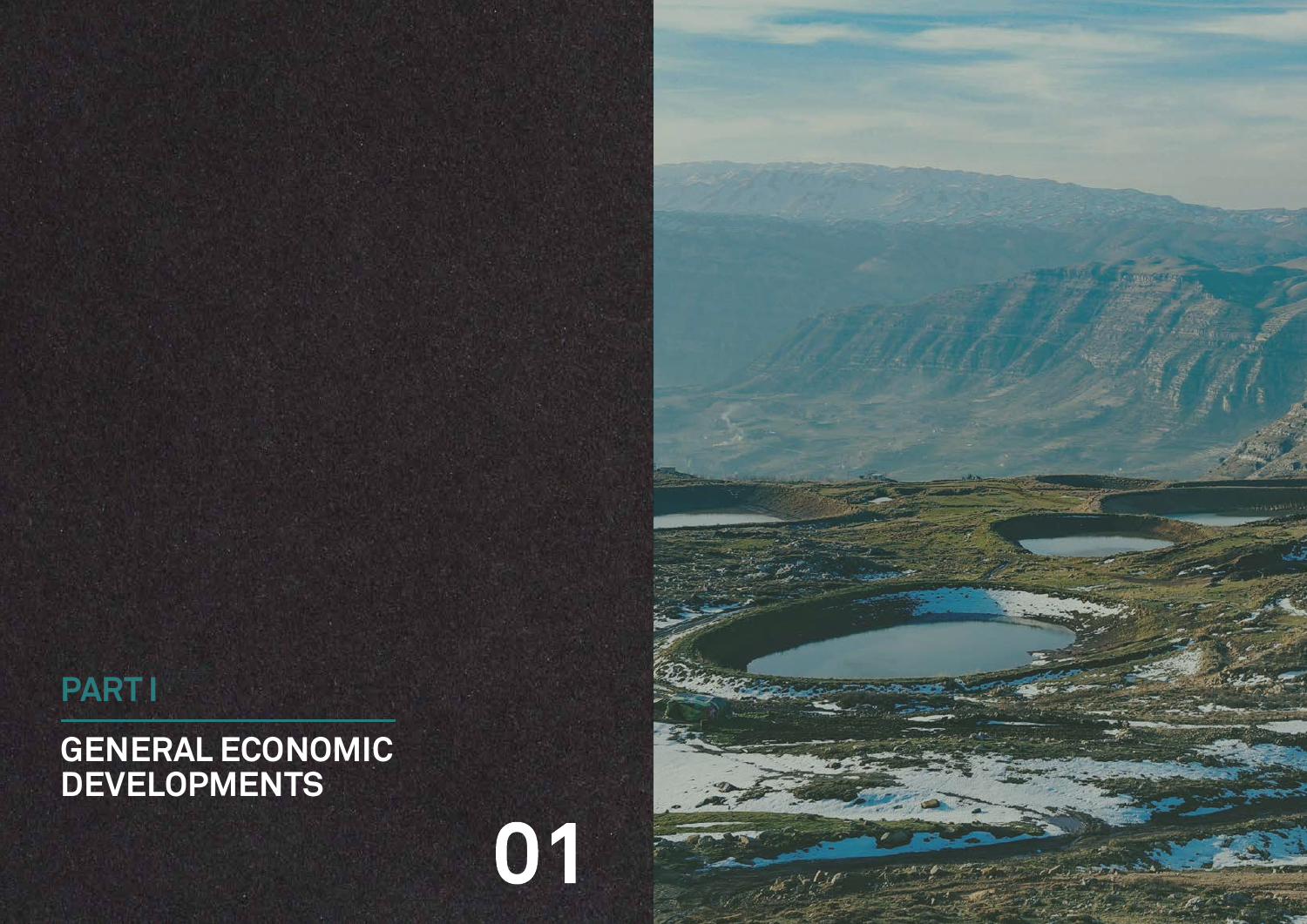# **GENERAL ECONOMIC DEVELOPMENTS**





# **PART I**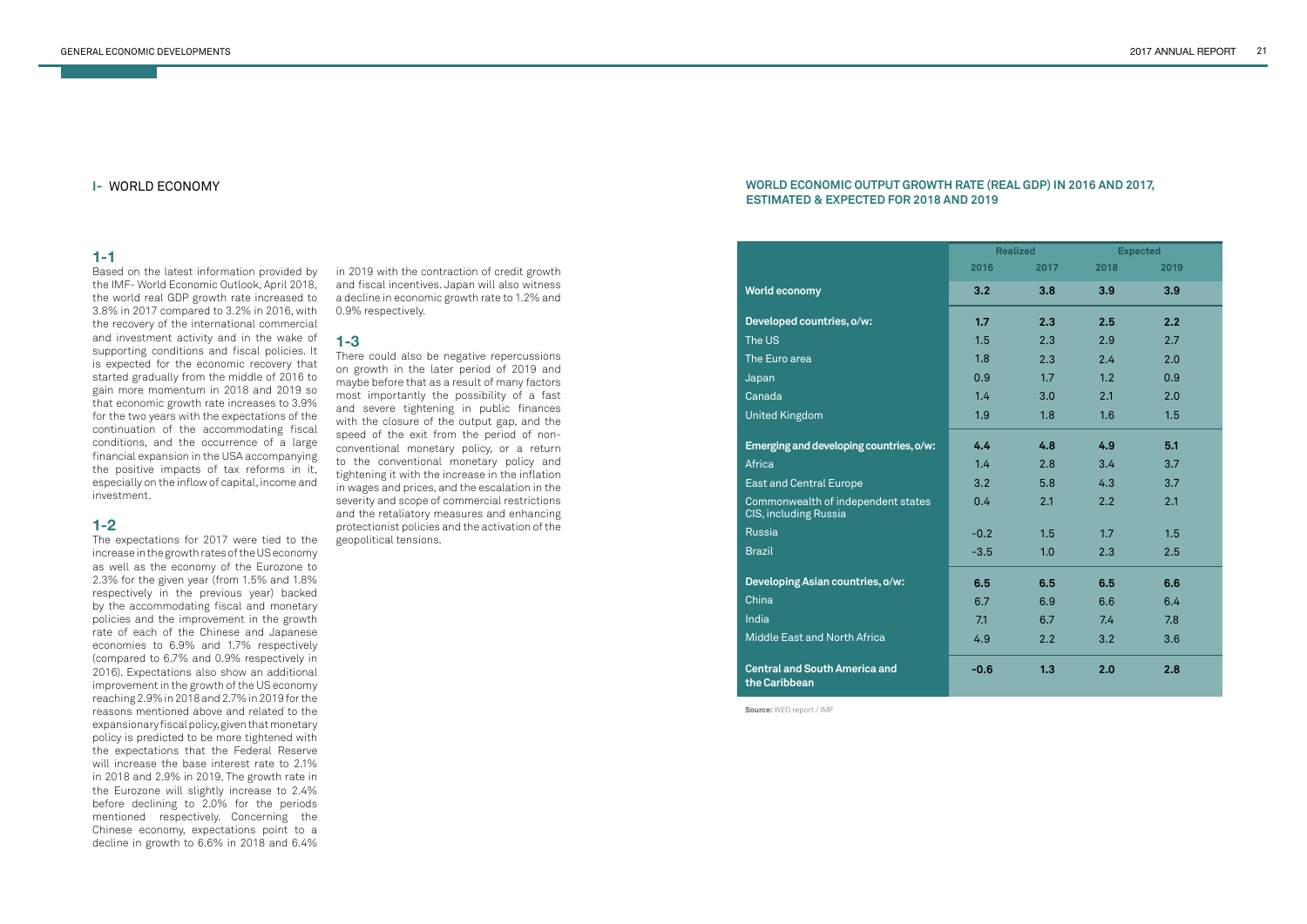## **I-** WORLD ECONOMY

#### **1-1**

Based on the latest information provided by the IMF- World Economic Outlook, April 2018, the world real GDP growth rate increased to 3.8% in 2017 compared to 3.2% in 2016, with the recovery of the international commercial and investment activity and in the wake of supporting conditions and fiscal policies. It is expected for the economic recovery that started gradually from the middle of 2016 to gain more momentum in 2018 and 2019 so that economic growth rate increases to 3.9% for the two years with the expectations of the continuation of the accommodating fiscal conditions, and the occurrence of a large financial expansion in the USA accompanying the positive impacts of tax reforms in it, especially on the inflow of capital, income and investment.

# **1-2**

The expectations for 2017 were tied to the increase in the growth rates of the US economy as well as the economy of the Eurozone to 2.3% for the given year (from 1.5% and 1.8% respectively in the previous year) backed by the accommodating fiscal and monetary policies and the improvement in the growth rate of each of the Chinese and Japanese economies to 6.9% and 1.7% respectively (compared to 6.7% and 0.9% respectively in 2016). Expectations also show an additional improvement in the growth of the US economy reaching 2.9% in 2018 and 2.7% in 2019 for the reasons mentioned above and related to the expansionary fiscal policy, given that monetary policy is predicted to be more tightened with the expectations that the Federal Reserve will increase the base interest rate to 2.1% in 2018 and 2.9% in 2019. The growth rate in the Eurozone will slightly increase to 2.4% before declining to 2.0% for the periods mentioned respectively. Concerning the Chinese economy, expectations point to a decline in growth to 6.6% in 2018 and 6.4%

in 2019 with the contraction of credit growth and fiscal incentives. Japan will also witness a decline in economic growth rate to 1.2% and 0.9% respectively.

## **1-3**

There could also be negative repercussions on growth in the later period of 2019 and maybe before that as a result of many factors most importantly the possibility of a fast and severe tightening in public finances with the closure of the output gap, and the speed of the exit from the period of nonconventional monetary policy, or a return to the conventional monetary policy and tightening it with the increase in the inflation in wages and prices, and the escalation in the severity and scope of commercial restrictions and the retaliatory measures and enhancing protectionist policies and the activation of the geopolitical tensions.

|                                                             | <b>Realized</b> |      | <b>Expected</b> |      |  |
|-------------------------------------------------------------|-----------------|------|-----------------|------|--|
|                                                             | 2016            | 2017 | 2018            | 2019 |  |
| <b>World economy</b>                                        | 3.2             | 3.8  | 3.9             | 3.9  |  |
| Developed countries, o/w:                                   | 1.7             | 2.3  | 2.5             | 2.2  |  |
| The US                                                      | 1.5             | 2.3  | 2.9             | 2.7  |  |
| The Euro area                                               | 1.8             | 2.3  | 2.4             | 2.0  |  |
| Japan                                                       | 0.9             | 1.7  | 1.2             | 0.9  |  |
| Canada                                                      | 1.4             | 3.0  | 2.1             | 2.0  |  |
| <b>United Kingdom</b>                                       | 1.9             | 1.8  | 1.6             | 1.5  |  |
| Emerging and developing countries, o/w:                     | 4.4             | 4.8  | 4.9             | 5.1  |  |
| <b>Africa</b>                                               | 1.4             | 2.8  | 3.4             | 3.7  |  |
| <b>East and Central Europe</b>                              | 3.2             | 5.8  | 4.3             | 3.7  |  |
| Commonwealth of independent states<br>CIS, including Russia | 0.4             | 2.1  | 2.2             | 2.1  |  |
| <b>Russia</b>                                               | $-0.2$          | 1.5  | 1.7             | 1.5  |  |
| <b>Brazil</b>                                               | $-3.5$          | 1.0  | 2.3             | 2.5  |  |
| Developing Asian countries, o/w:                            | 6.5             | 6.5  | 6.5             | 6.6  |  |
| China                                                       | 6.7             | 6.9  | 6.6             | 6.4  |  |
| India                                                       | 7.1             | 6.7  | 7.4             | 7.8  |  |
| Middle East and North Africa                                | 4.9             | 2.2  | 3.2             | 3.6  |  |
| <b>Central and South America and</b><br>the Caribbean       | $-0.6$          | 1.3  | 2.0             | 2.8  |  |

#### **WORLD ECONOMIC OUTPUT GROWTH RATE (REAL GDP) IN 2016 AND 2017, ESTIMATED & EXPECTED FOR 2018 AND 2019**

**Source:** WEO report / IMF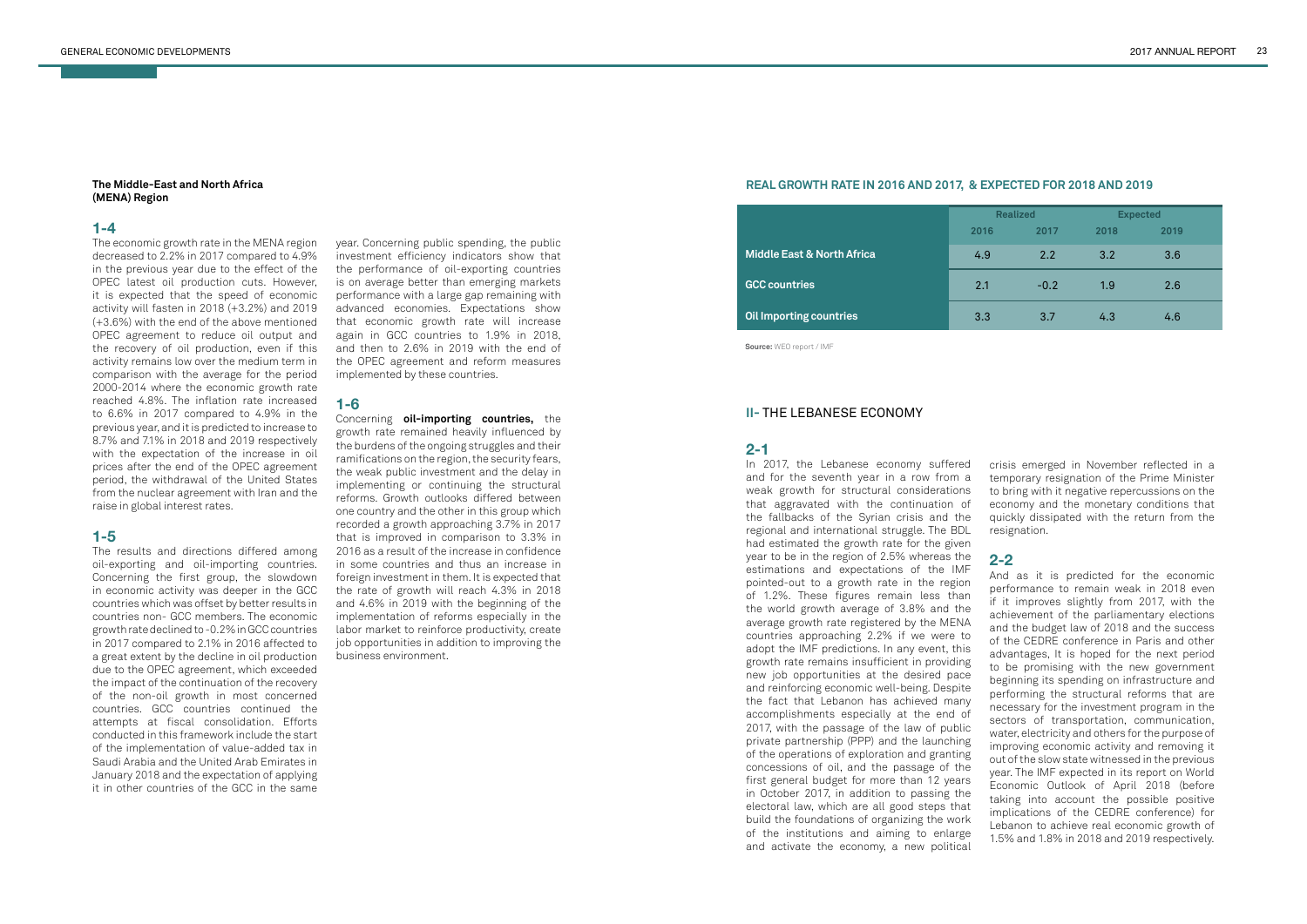#### **The Middle-East and North Africa (MENA) Region**

## **1-4**

The economic growth rate in the MENA region decreased to 2.2% in 2017 compared to 4.9% in the previous year due to the effect of the OPEC latest oil production cuts. However, it is expected that the speed of economic activity will fasten in 2018 (+3.2%) and 2019 (+3.6%) with the end of the above mentioned OPEC agreement to reduce oil output and the recovery of oil production, even if this activity remains low over the medium term in comparison with the average for the period 2000-2014 where the economic growth rate reached 4.8%. The inflation rate increased to 6.6% in 2017 compared to 4.9% in the previous year, and it is predicted to increase to 8.7% and 7.1% in 2018 and 2019 respectively with the expectation of the increase in oil prices after the end of the OPEC agreement period, the withdrawal of the United States from the nuclear agreement with Iran and the raise in global interest rates.

# **1-5**

The results and directions differed among oil-exporting and oil-importing countries. Concerning the first group, the slowdown in economic activity was deeper in the GCC countries which was offset by better results in countries non- GCC members. The economic growth rate declined to -0.2% in GCC countries in 2017 compared to 2.1% in 2016 affected to a great extent by the decline in oil production due to the OPEC agreement, which exceeded the impact of the continuation of the recovery of the non-oil growth in most concerned countries. GCC countries continued the attempts at fiscal consolidation. Efforts conducted in this framework include the start of the implementation of value-added tax in Saudi Arabia and the United Arab Emirates in January 2018 and the expectation of applying it in other countries of the GCC in the same

year. Concerning public spending, the public investment efficiency indicators show that the performance of oil-exporting countries is on average better than emerging markets performance with a large gap remaining with advanced economies. Expectations show that economic growth rate will increase again in GCC countries to 1.9% in 2018, and then to 2.6% in 2019 with the end of the OPEC agreement and reform measures implemented by these countries.

#### **1-6**

Concerning **oil-importing countries,** the growth rate remained heavily influenced by the burdens of the ongoing struggles and their ramifications on the region, the security fears, the weak public investment and the delay in implementing or continuing the structural reforms. Growth outlooks differed between one country and the other in this group which recorded a growth approaching 3.7% in 2017 that is improved in comparison to 3.3% in 2016 as a result of the increase in confidence in some countries and thus an increase in foreign investment in them. It is expected that the rate of growth will reach 4.3% in 2018 and 4.6% in 2019 with the beginning of the implementation of reforms especially in the labor market to reinforce productivity, create job opportunities in addition to improving the business environment.

|                                       | <b>Realized</b> |        | <b>Expected</b> |      |  |
|---------------------------------------|-----------------|--------|-----------------|------|--|
|                                       | 2016            | 2017   | 2018            | 2019 |  |
| <b>Middle East &amp; North Africa</b> | 4.9             | 2.2    | 3.2             | 3.6  |  |
| <b>GCC countries</b>                  | 2.1             | $-0.2$ | 1.9             | 2.6  |  |
| <b>Oil Importing countries</b>        | 3.3             | 3.7    | 4.3             | 4.6  |  |

#### **REAL GROWTH RATE IN 2016 AND 2017, & EXPECTED FOR 2018 AND 2019**

**Source:** WEO report / IMF

# **II-** THE LEBANESE ECONOMY

## **2-1**

In 2017, the Lebanese economy suffered and for the seventh year in a row from a weak growth for structural considerations that aggravated with the continuation of the fallbacks of the Syrian crisis and the regional and international struggle. The BDL had estimated the growth rate for the given year to be in the region of 2.5% whereas the estimations and expectations of the IMF pointed-out to a growth rate in the region of 1.2%. These figures remain less than the world growth average of 3.8% and the average growth rate registered by the MENA countries approaching 2.2% if we were to adopt the IMF predictions. In any event, this growth rate remains insufficient in providing new job opportunities at the desired pace and reinforcing economic well-being. Despite the fact that Lebanon has achieved many accomplishments especially at the end of 2017, with the passage of the law of public private partnership (PPP) and the launching of the operations of exploration and granting concessions of oil, and the passage of the first general budget for more than 12 years in October 2017, in addition to passing the electoral law, which are all good steps that build the foundations of organizing the work of the institutions and aiming to enlarge and activate the economy, a new political

crisis emerged in November reflected in a temporary resignation of the Prime Minister to bring with it negative repercussions on the economy and the monetary conditions that quickly dissipated with the return from the resignation.

# **2-2**

And as it is predicted for the economic performance to remain weak in 2018 even if it improves slightly from 2017, with the achievement of the parliamentary elections and the budget law of 2018 and the success of the CEDRE conference in Paris and other advantages, It is hoped for the next period to be promising with the new government beginning its spending on infrastructure and performing the structural reforms that are necessary for the investment program in the sectors of transportation, communication, water, electricity and others for the purpose of improving economic activity and removing it out of the slow state witnessed in the previous year. The IMF expected in its report on World Economic Outlook of April 2018 (before taking into account the possible positive implications of the CEDRE conference) for Lebanon to achieve real economic growth of 1.5% and 1.8% in 2018 and 2019 respectively.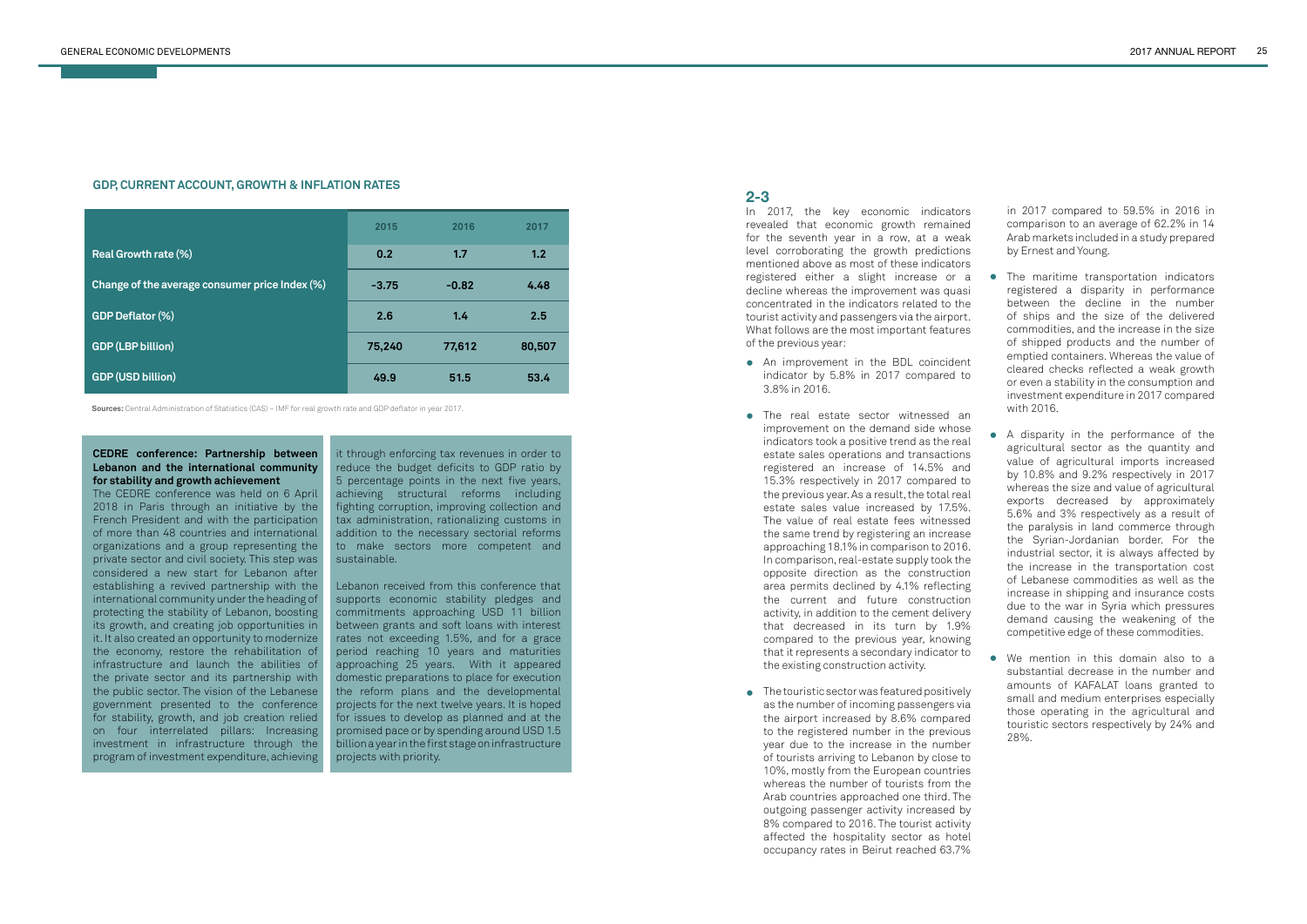|                                                | 2015    | 2016    | 2017   |
|------------------------------------------------|---------|---------|--------|
| Real Growth rate (%)                           | 0.2     | 1.7     | 1.2    |
| Change of the average consumer price Index (%) | $-3.75$ | $-0.82$ | 4.48   |
| <b>GDP Deflator (%)</b>                        | 2.6     | 1.4     | 2.5    |
| <b>GDP (LBP billion)</b>                       | 75,240  | 77,612  | 80,507 |
| <b>GDP (USD billion)</b>                       | 49.9    | 51.5    | 53.4   |

#### **GDP, CURRENT ACCOUNT, GROWTH & INFLATION RATES**

**Sources:** Central Administration of Statistics (CAS) – IMF for real growth rate and GDP deflator in year 2017.

#### **CEDRE conference: Partnership between Lebanon and the international community for stability and growth achievement**

it through enforcing tax revenues in order to reduce the budget deficits to GDP ratio by 5 percentage points in the next five years, achieving structural reforms including fighting corruption, improving collection and tax administration, rationalizing customs in addition to the necessary sectorial reforms to make sectors more competent and sustainable.

The CEDRE conference was held on 6 April 2018 in Paris through an initiative by the French President and with the participation of more than 48 countries and international organizations and a group representing the private sector and civil society. This step was considered a new start for Lebanon after establishing a revived partnership with the international community under the heading of protecting the stability of Lebanon, boosting its growth, and creating job opportunities in it. It also created an opportunity to modernize the economy, restore the rehabilitation of infrastructure and launch the abilities of the private sector and its partnership with the public sector. The vision of the Lebanese government presented to the conference for stability, growth, and job creation relied on four interrelated pillars: Increasing investment in infrastructure through the program of investment expenditure, achieving

Lebanon received from this conference that supports economic stability pledges and commitments approaching USD 11 billion between grants and soft loans with interest rates not exceeding 1.5%, and for a grace period reaching 10 years and maturities approaching 25 years. With it appeared domestic preparations to place for execution the reform plans and the developmental projects for the next twelve years. It is hoped for issues to develop as planned and at the promised pace or by spending around USD 1.5 billion a year in the first stage on infrastructure projects with priority.

## **2-3**

In 2017, the key economic indicators revealed that economic growth remained for the seventh year in a row, at a weak level corroborating the growth predictions mentioned above as most of these indicators registered either a slight increase or a decline whereas the improvement was quasi concentrated in the indicators related to the tourist activity and passengers via the airport. What follows are the most important features of the previous year:

- An improvement in the BDL coincident **•** indicator by 5.8% in 2017 compared to 3.8% in 2016.
- The real estate sector witnessed an **•** improvement on the demand side whose indicators took a positive trend as the real estate sales operations and transactions registered an increase of 14.5% and 15.3% respectively in 2017 compared to the previous year. As a result, the total real estate sales value increased by 17.5%. The value of real estate fees witnessed the same trend by registering an increase approaching 18.1% in comparison to 2016. In comparison, real-estate supply took the opposite direction as the construction area permits declined by 4.1% reflecting the current and future construction activity, in addition to the cement delivery that decreased in its turn by 1.9% compared to the previous year, knowing that it represents a secondary indicator to the existing construction activity.
- The touristic sector was featured positively **•**as the number of incoming passengers via the airport increased by 8.6% compared to the registered number in the previous year due to the increase in the number of tourists arriving to Lebanon by close to 10%, mostly from the European countries whereas the number of tourists from the Arab countries approached one third. The outgoing passenger activity increased by 8% compared to 2016. The tourist activity affected the hospitality sector as hotel occupancy rates in Beirut reached 63.7%

in 2017 compared to 59.5% in 2016 in comparison to an average of 62.2% in 14 Arab markets included in a study prepared by Ernest and Young.

- The maritime transportation indicators **•** registered a disparity in performance between the decline in the number of ships and the size of the delivered commodities, and the increase in the size of shipped products and the number of emptied containers. Whereas the value of cleared checks reflected a weak growth or even a stability in the consumption and investment expenditure in 2017 compared with 2016.
- A disparity in the performance of the **•** agricultural sector as the quantity and value of agricultural imports increased by 10.8% and 9.2% respectively in 2017 whereas the size and value of agricultural exports decreased by approximately 5.6% and 3% respectively as a result of the paralysis in land commerce through the Syrian-Jordanian border. For the industrial sector, it is always affected by the increase in the transportation cost of Lebanese commodities as well as the increase in shipping and insurance costs due to the war in Syria which pressures demand causing the weakening of the competitive edge of these commodities.
- We mention in this domain also to a **•** substantial decrease in the number and amounts of KAFALAT loans granted to small and medium enterprises especially those operating in the agricultural and touristic sectors respectively by 24% and 28%.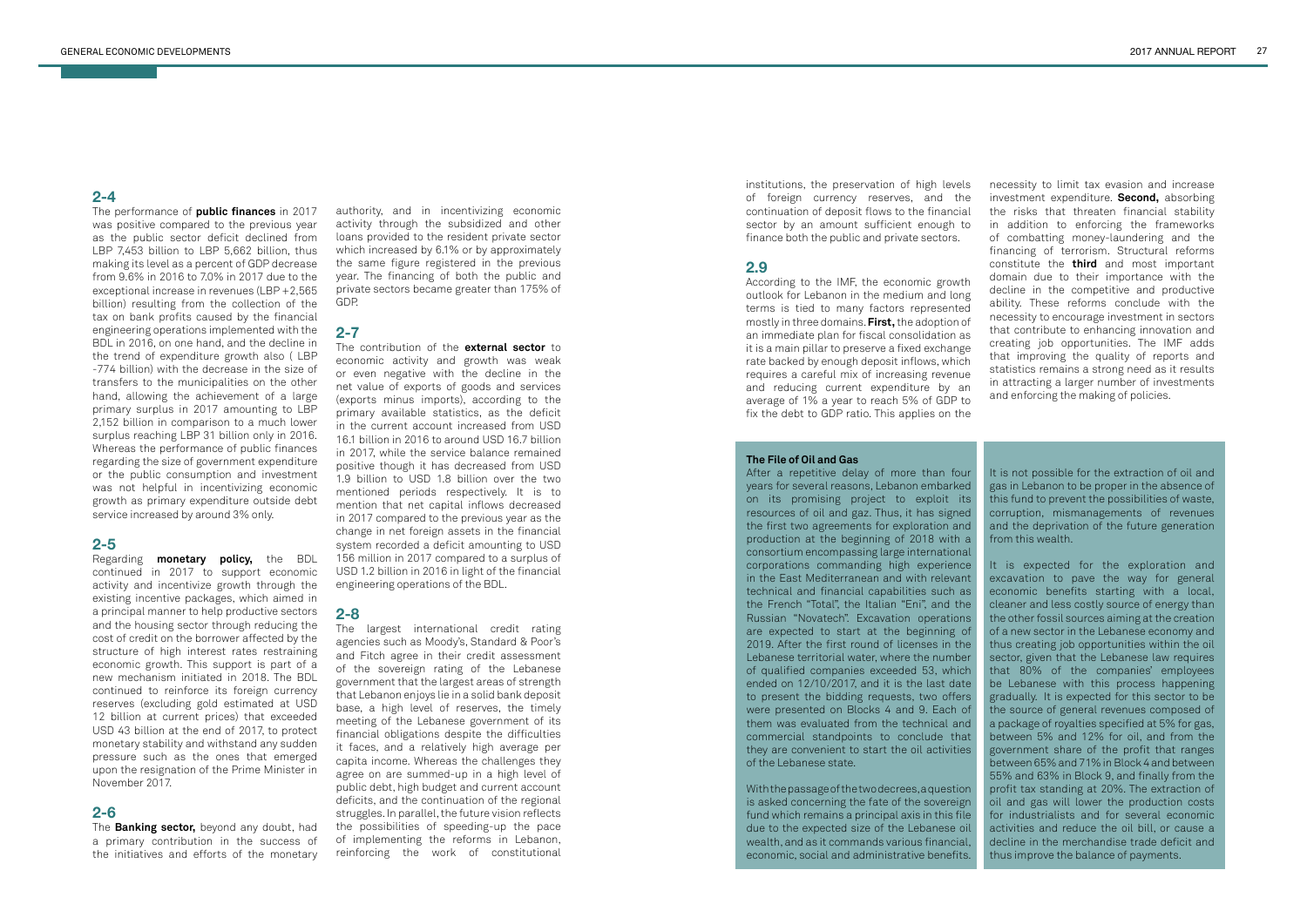The performance of **public finances** in 2017 was positive compared to the previous year as the public sector deficit declined from LBP 7,453 billion to LBP 5,662 billion, thus making its level as a percent of GDP decrease from 9.6% in 2016 to 7.0% in 2017 due to the exceptional increase in revenues (LBP +2,565 billion) resulting from the collection of the tax on bank profits caused by the financial engineering operations implemented with the BDL in 2016, on one hand, and the decline in the trend of expenditure growth also ( LBP -774 billion) with the decrease in the size of transfers to the municipalities on the other hand, allowing the achievement of a large primary surplus in 2017 amounting to LBP 2,152 billion in comparison to a much lower surplus reaching LBP 31 billion only in 2016. Whereas the performance of public finances regarding the size of government expenditure or the public consumption and investment was not helpful in incentivizing economic growth as primary expenditure outside debt service increased by around 3% only.

# **2-5**

Regarding **monetary policy,** the BDL continued in 2017 to support economic activity and incentivize growth through the existing incentive packages, which aimed in a principal manner to help productive sectors and the housing sector through reducing the cost of credit on the borrower affected by the structure of high interest rates restraining economic growth. This support is part of a new mechanism initiated in 2018. The BDL continued to reinforce its foreign currency reserves (excluding gold estimated at USD 12 billion at current prices) that exceeded USD 43 billion at the end of 2017, to protect monetary stability and withstand any sudden pressure such as the ones that emerged upon the resignation of the Prime Minister in November 2017.

# **2-6**

The **Banking sector,** beyond any doubt, had a primary contribution in the success of the initiatives and efforts of the monetary

authority, and in incentivizing economic activity through the subsidized and other loans provided to the resident private sector which increased by 6.1% or by approximately the same figure registered in the previous year. The financing of both the public and private sectors became greater than 175% of GDP.

# **2-7**

The contribution of the **external sector** to economic activity and growth was weak or even negative with the decline in the net value of exports of goods and services (exports minus imports), according to the primary available statistics, as the deficit in the current account increased from USD 16.1 billion in 2016 to around USD 16.7 billion in 2017, while the service balance remained positive though it has decreased from USD 1.9 billion to USD 1.8 billion over the two mentioned periods respectively. It is to mention that net capital inflows decreased in 2017 compared to the previous year as the change in net foreign assets in the financial system recorded a deficit amounting to USD 156 million in 2017 compared to a surplus of USD 1.2 billion in 2016 in light of the financial engineering operations of the BDL.

# **2-8**

After a repetitive delay of more than four years for several reasons, Lebanon embarked on its promising project to exploit its resources of oil and gaz. Thus, it has signed the first two agreements for exploration and production at the beginning of 2018 with a consortium encompassing large international corporations commanding high experience in the East Mediterranean and with relevant technical and financial capabilities such as the French "Total", the Italian "Eni", and the Russian "Novatech". Excavation operations are expected to start at the beginning of 2019. After the first round of licenses in the Lebanese territorial water, where the number of qualified companies exceeded 53, which ended on 12/10/2017, and it is the last date to present the bidding requests, two offers were presented on Blocks 4 and 9. Each of them was evaluated from the technical and commercial standpoints to conclude that they are convenient to start the oil activities of the Lebanese state.

With the passage of the two decrees, a question is asked concerning the fate of the sovereign fund which remains a principal axis in this file due to the expected size of the Lebanese oil wealth, and as it commands various financial, economic, social and administrative benefits.

The largest international credit rating agencies such as Moody's, Standard & Poor's and Fitch agree in their credit assessment of the sovereign rating of the Lebanese government that the largest areas of strength that Lebanon enjoys lie in a solid bank deposit base, a high level of reserves, the timely meeting of the Lebanese government of its financial obligations despite the difficulties it faces, and a relatively high average per capita income. Whereas the challenges they agree on are summed-up in a high level of public debt, high budget and current account deficits, and the continuation of the regional struggles. In parallel, the future vision reflects the possibilities of speeding-up the pace of implementing the reforms in Lebanon, reinforcing the work of constitutional

institutions, the preservation of high levels of foreign currency reserves, and the continuation of deposit flows to the financial sector by an amount sufficient enough to finance both the public and private sectors.

#### **2.9**

According to the IMF, the economic growth outlook for Lebanon in the medium and long terms is tied to many factors represented mostly in three domains. **First,** the adoption of an immediate plan for fiscal consolidation as it is a main pillar to preserve a fixed exchange rate backed by enough deposit inflows, which requires a careful mix of increasing revenue and reducing current expenditure by an average of 1% a year to reach 5% of GDP to fix the debt to GDP ratio. This applies on the

necessity to limit tax evasion and increase investment expenditure. **Second,** absorbing the risks that threaten financial stability in addition to enforcing the frameworks of combatting money-laundering and the financing of terrorism. Structural reforms constitute the **third** and most important domain due to their importance with the decline in the competitive and productive ability. These reforms conclude with the necessity to encourage investment in sectors that contribute to enhancing innovation and creating job opportunities. The IMF adds that improving the quality of reports and statistics remains a strong need as it results in attracting a larger number of investments and enforcing the making of policies.

#### **The File of Oil and Gas**

It is not possible for the extraction of oil and gas in Lebanon to be proper in the absence of this fund to prevent the possibilities of waste, corruption, mismanagements of revenues and the deprivation of the future generation from this wealth.

It is expected for the exploration and excavation to pave the way for general economic benefits starting with a local, cleaner and less costly source of energy than the other fossil sources aiming at the creation of a new sector in the Lebanese economy and thus creating job opportunities within the oil sector, given that the Lebanese law requires that 80% of the companies' employees be Lebanese with this process happening gradually. It is expected for this sector to be the source of general revenues composed of a package of royalties specified at 5% for gas, between 5% and 12% for oil, and from the government share of the profit that ranges between 65% and 71% in Block 4 and between 55% and 63% in Block 9, and finally from the profit tax standing at 20%. The extraction of oil and gas will lower the production costs for industrialists and for several economic activities and reduce the oil bill, or cause a decline in the merchandise trade deficit and thus improve the balance of payments.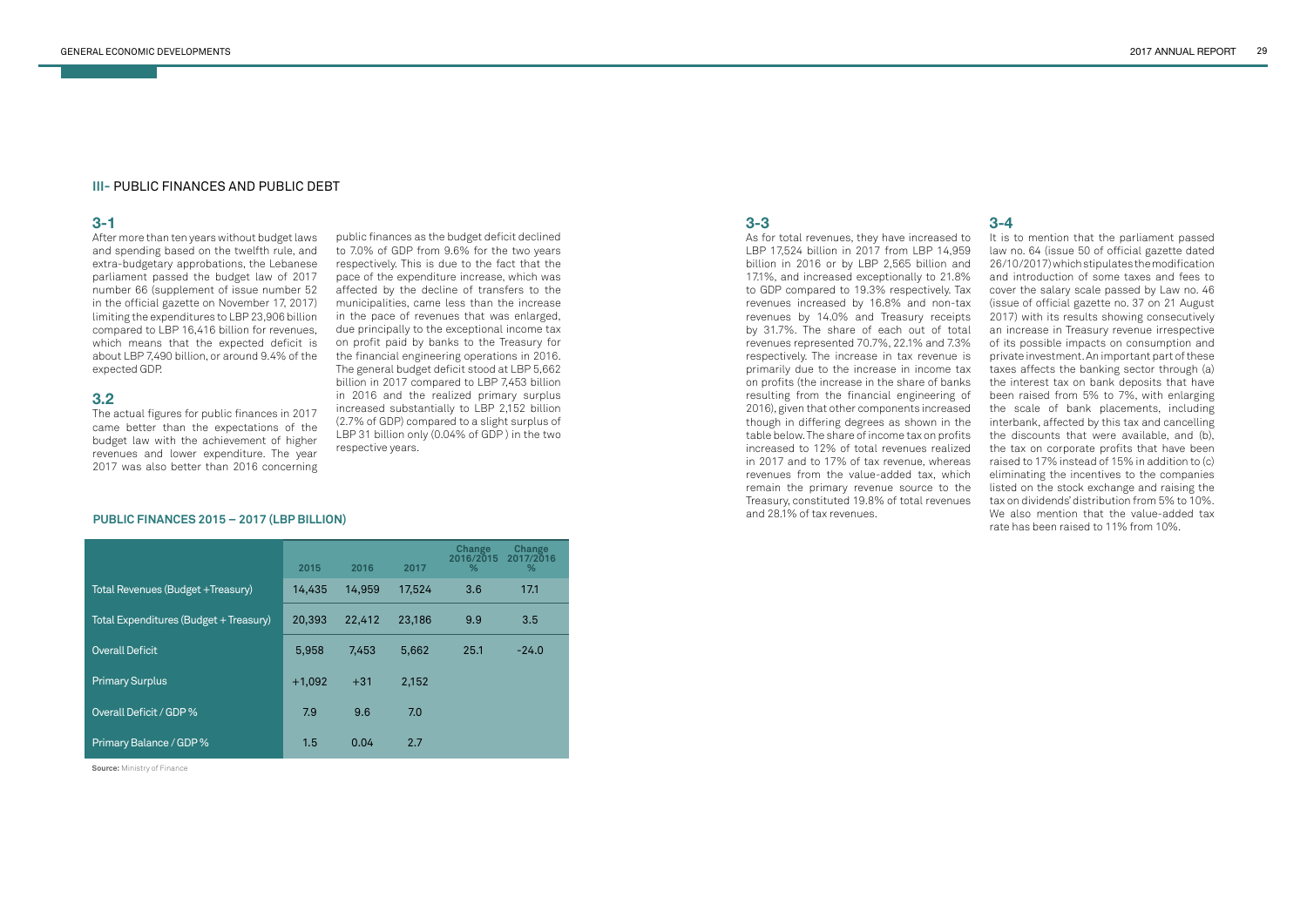#### **III-** PUBLIC FINANCES AND PUBLIC DEBT

# **3-1**

After more than ten years without budget laws and spending based on the twelfth rule, and extra-budgetary approbations, the Lebanese parliament passed the budget law of 2017 number 66 (supplement of issue number 52 in the official gazette on November 17, 2017) limiting the expenditures to LBP 23,906 billion compared to LBP 16,416 billion for revenues, which means that the expected deficit is about LBP 7,490 billion, or around 9.4% of the expected GDP.

### **3.2**

The actual figures for public finances in 2017 came better than the expectations of the budget law with the achievement of higher revenues and lower expenditure. The year 2017 was also better than 2016 concerning

# **3-3**

As for total revenues, they have increased to LBP 17,524 billion in 2017 from LBP 14,959 billion in 2016 or by LBP 2,565 billion and 17.1%, and increased exceptionally to 21.8% to GDP compared to 19.3% respectively. Tax revenues increased by 16.8% and non-tax revenues by 14.0% and Treasury receipts by 31.7%. The share of each out of total revenues represented 70.7%, 22.1% and 7.3% respectively. The increase in tax revenue is primarily due to the increase in income tax on profits (the increase in the share of banks resulting from the financial engineering of 2016), given that other components increased though in differing degrees as shown in the table below. The share of income tax on profits increased to 12% of total revenues realized in 2017 and to 17% of tax revenue, whereas revenues from the value-added tax, which remain the primary revenue source to the Treasury, constituted 19.8% of total revenues and 28.1% of tax revenues.

# **3-4**

It is to mention that the parliament passed law no. 64 (issue 50 of official gazette dated 26/10/2017) which stipulates the modification and introduction of some taxes and fees to cover the salary scale passed by Law no. 46 (issue of official gazette no. 37 on 21 August 2017) with its results showing consecutively an increase in Treasury revenue irrespective of its possible impacts on consumption and private investment. An important part of these taxes affects the banking sector through (a) the interest tax on bank deposits that have been raised from 5% to 7%, with enlarging the scale of bank placements, including interbank, affected by this tax and cancelling the discounts that were available, and (b), the tax on corporate profits that have been raised to 17% instead of 15% in addition to (c) eliminating the incentives to the companies listed on the stock exchange and raising the tax on dividends' distribution from 5% to 10%. We also mention that the value-added tax rate has been raised to 11% from 10%.

public finances as the budget deficit declined to 7.0% of GDP from 9.6% for the two years respectively. This is due to the fact that the pace of the expenditure increase, which was affected by the decline of transfers to the municipalities, came less than the increase in the pace of revenues that was enlarged, due principally to the exceptional income tax on profit paid by banks to the Treasury for the financial engineering operations in 2016. The general budget deficit stood at LBP 5,662 billion in 2017 compared to LBP 7,453 billion in 2016 and the realized primary surplus increased substantially to LBP 2,152 billion (2.7% of GDP) compared to a slight surplus of LBP 31 billion only (0.04% of GDP ) in the two respective years.

|                                        | 2015     | 2016   | 2017   | <b>Change</b><br>2016/2015<br>% | <b>Change</b><br>2017/2016<br>% |
|----------------------------------------|----------|--------|--------|---------------------------------|---------------------------------|
| Total Revenues (Budget +Treasury)      | 14,435   | 14,959 | 17,524 | 3.6                             | 17.1                            |
| Total Expenditures (Budget + Treasury) | 20,393   | 22,412 | 23,186 | 9.9                             | 3.5                             |
| <b>Overall Deficit</b>                 | 5,958    | 7,453  | 5,662  | 25.1                            | $-24.0$                         |
| <b>Primary Surplus</b>                 | $+1,092$ | $+31$  | 2,152  |                                 |                                 |
| Overall Deficit / GDP %                | 7.9      | 9.6    | 7.0    |                                 |                                 |
| Primary Balance / GDP %                | 1.5      | 0.04   | 2.7    |                                 |                                 |

#### **PUBLIC FINANCES 2015 – 2017 (LBP BILLION)**

**Source:** Ministry of Finance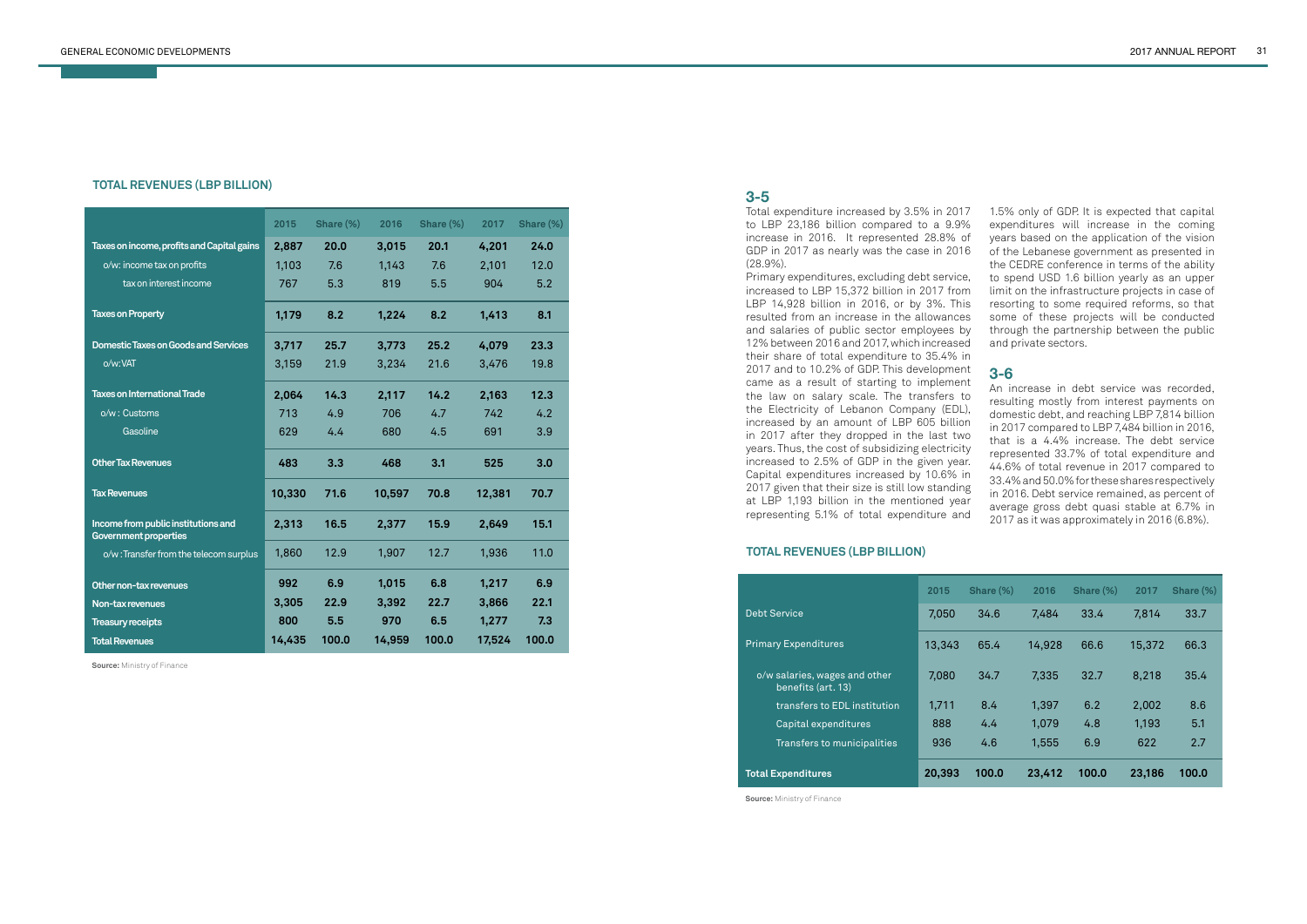|                                                                     | 2015   | Share (%) | 2016   | Share (%) | 2017   | Share (%) |
|---------------------------------------------------------------------|--------|-----------|--------|-----------|--------|-----------|
| Taxes on income, profits and Capital gains                          | 2,887  | 20.0      | 3,015  | 20.1      | 4,201  | 24.0      |
| o/w: income tax on profits                                          | 1,103  | 7.6       | 1,143  | 7.6       | 2,101  | 12.0      |
| tax on interest income                                              | 767    | 5.3       | 819    | 5.5       | 904    | 5.2       |
| <b>Taxes on Property</b>                                            | 1,179  | 8.2       | 1,224  | 8.2       | 1,413  | 8.1       |
| <b>Domestic Taxes on Goods and Services</b>                         | 3,717  | 25.7      | 3,773  | 25.2      | 4,079  | 23.3      |
| o/w:VAT                                                             | 3,159  | 21.9      | 3,234  | 21.6      | 3,476  | 19.8      |
| <b>Taxes on International Trade</b>                                 | 2,064  | 14.3      | 2,117  | 14.2      | 2,163  | 12.3      |
| o/w: Customs                                                        | 713    | 4.9       | 706    | 4.7       | 742    | 4.2       |
| Gasoline                                                            | 629    | 4.4       | 680    | 4.5       | 691    | 3.9       |
| <b>Other Tax Revenues</b>                                           | 483    | 3.3       | 468    | 3.1       | 525    | 3.0       |
| <b>Tax Revenues</b>                                                 | 10,330 | 71.6      | 10,597 | 70.8      | 12,381 | 70.7      |
| Income from public institutions and<br><b>Government properties</b> | 2,313  | 16.5      | 2,377  | 15.9      | 2,649  | 15.1      |
| o/w:Transfer from the telecom surplus                               | 1,860  | 12.9      | 1,907  | 12.7      | 1,936  | 11.0      |
| Other non-tax revenues                                              | 992    | 6.9       | 1,015  | 6.8       | 1,217  | 6.9       |
| Non-tax revenues                                                    | 3,305  | 22.9      | 3,392  | 22.7      | 3,866  | 22.1      |
| <b>Treasury receipts</b>                                            | 800    | 5.5       | 970    | 6.5       | 1,277  | 7.3       |
| <b>Total Revenues</b>                                               | 14,435 | 100.0     | 14,959 | 100.0     | 17,524 | 100.0     |

#### **TOTAL REVENUES (LBP BILLION)**

#### **TOTAL REVENUES (LBP BILLION)**

|                                                     | 2015   | Share (%) | 2016   | Share (%) | 2017   | Share (%) |
|-----------------------------------------------------|--------|-----------|--------|-----------|--------|-----------|
| <b>Debt Service</b>                                 | 7.050  | 34.6      | 7,484  | 33.4      | 7,814  | 33.7      |
| <b>Primary Expenditures</b>                         | 13,343 | 65.4      | 14,928 | 66.6      | 15,372 | 66.3      |
| o/w salaries, wages and other<br>benefits (art. 13) | 7,080  | 34.7      | 7,335  | 32.7      | 8,218  | 35.4      |
| transfers to EDL institution                        | 1,711  | 8.4       | 1,397  | 6.2       | 2,002  | 8.6       |
| Capital expenditures                                | 888    | 4.4       | 1,079  | 4.8       | 1,193  | 5.1       |
| Transfers to municipalities                         | 936    | 4.6       | 1,555  | 6.9       | 622    | 2.7       |
| <b>Total Expenditures</b>                           | 20,393 | 100.0     | 23,412 | 100.0     | 23,186 | 100.0     |

**Source:** Ministry of Finance

**Source:** Ministry of Finance

# **3-5**

Total expenditure increased by 3.5% in 2017 to LBP 23,186 billion compared to a 9.9% increase in 2016. It represented 28.8% of GDP in 2017 as nearly was the case in 2016 (28.9%).

Primary expenditures, excluding debt service, increased to LBP 15,372 billion in 2017 from LBP 14,928 billion in 2016, or by 3%. This resulted from an increase in the allowances and salaries of public sector employees by 12% between 2016 and 2017, which increased their share of total expenditure to 35.4% in 2017 and to 10.2% of GDP. This development came as a result of starting to implement the law on salary scale. The transfers to the Electricity of Lebanon Company (EDL), increased by an amount of LBP 605 billion in 2017 after they dropped in the last two years. Thus, the cost of subsidizing electricity increased to 2.5% of GDP in the given year. Capital expenditures increased by 10.6% in 2017 given that their size is still low standing at LBP 1,193 billion in the mentioned year representing 5.1% of total expenditure and

1.5% only of GDP. It is expected that capital expenditures will increase in the coming years based on the application of the vision of the Lebanese government as presented in the CEDRE conference in terms of the ability to spend USD 1.6 billion yearly as an upper limit on the infrastructure projects in case of resorting to some required reforms, so that some of these projects will be conducted through the partnership between the public and private sectors.

# **3-6**

An increase in debt service was recorded, resulting mostly from interest payments on domestic debt, and reaching LBP 7,814 billion in 2017 compared to LBP 7,484 billion in 2016, that is a 4.4% increase. The debt service represented 33.7% of total expenditure and 44.6% of total revenue in 2017 compared to 33.4% and 50.0% for these shares respectively in 2016. Debt service remained, as percent of average gross debt quasi stable at 6.7% in 2017 as it was approximately in 2016 (6.8%).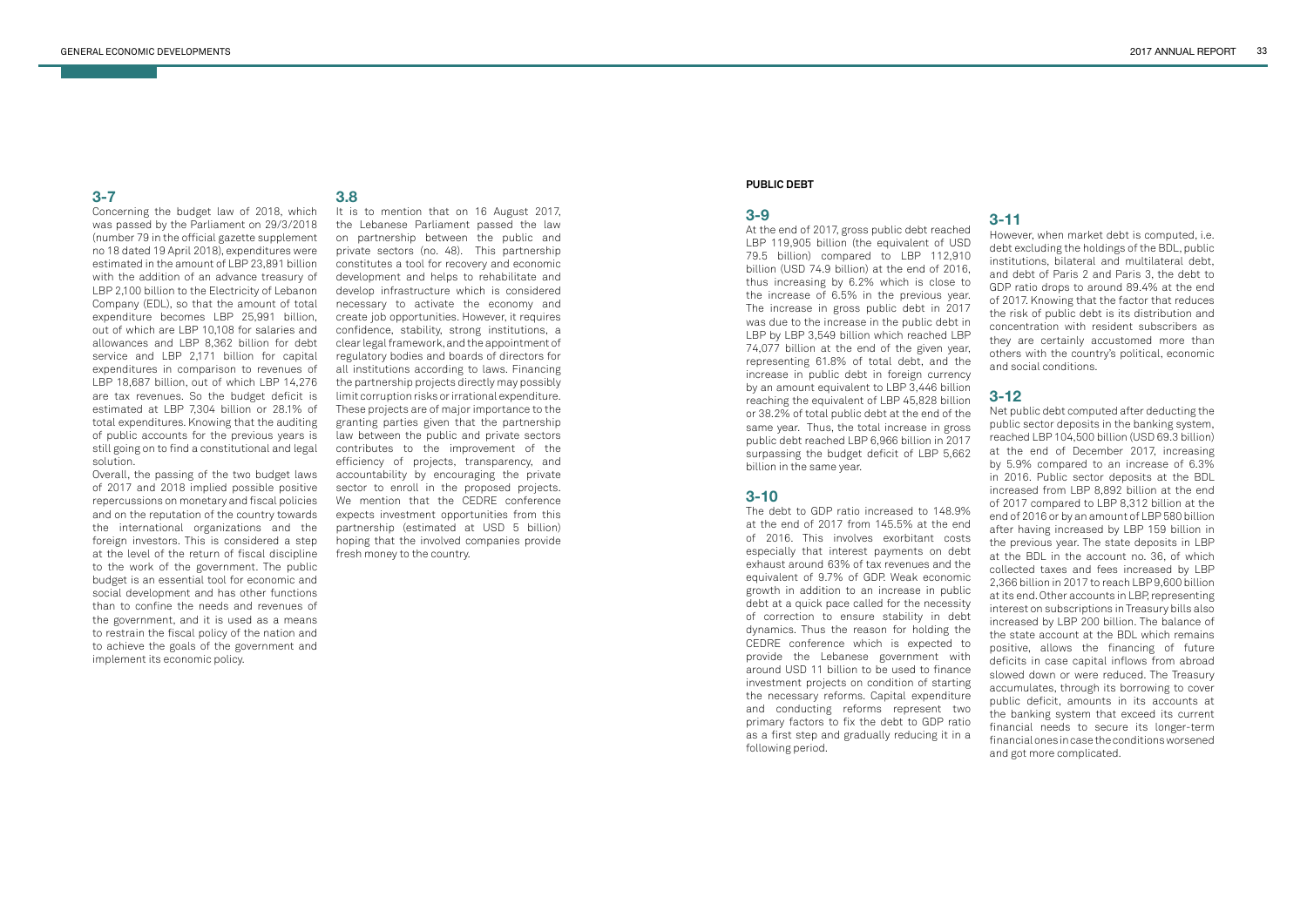Concerning the budget law of 2018, which was passed by the Parliament on 29/3/2018 (number 79 in the official gazette supplement no 18 dated 19 April 2018), expenditures were estimated in the amount of LBP 23,891 billion with the addition of an advance treasury of LBP 2,100 billion to the Electricity of Lebanon Company (EDL), so that the amount of total expenditure becomes LBP 25,991 billion, out of which are LBP 10,108 for salaries and allowances and LBP 8,362 billion for debt service and LBP 2,171 billion for capital expenditures in comparison to revenues of LBP 18,687 billion, out of which LBP 14,276 are tax revenues. So the budget deficit is estimated at LBP 7,304 billion or 28.1% of total expenditures. Knowing that the auditing of public accounts for the previous years is still going on to find a constitutional and legal solution.

Overall, the passing of the two budget laws of 2017 and 2018 implied possible positive repercussions on monetary and fiscal policies and on the reputation of the country towards the international organizations and the foreign investors. This is considered a step at the level of the return of fiscal discipline to the work of the government. The public budget is an essential tool for economic and social development and has other functions than to confine the needs and revenues of the government, and it is used as a means to restrain the fiscal policy of the nation and to achieve the goals of the government and implement its economic policy.

# **3.8**

It is to mention that on 16 August 2017, the Lebanese Parliament passed the law on partnership between the public and private sectors (no. 48). This partnership constitutes a tool for recovery and economic development and helps to rehabilitate and develop infrastructure which is considered necessary to activate the economy and create job opportunities. However, it requires confidence, stability, strong institutions, a clear legal framework, and the appointment of regulatory bodies and boards of directors for all institutions according to laws. Financing the partnership projects directly may possibly limit corruption risks or irrational expenditure. These projects are of major importance to the granting parties given that the partnership law between the public and private sectors contributes to the improvement of the efficiency of projects, transparency, and accountability by encouraging the private sector to enroll in the proposed projects. We mention that the CEDRE conference expects investment opportunities from this partnership (estimated at USD 5 billion) hoping that the involved companies provide fresh money to the country.

#### **PUBLIC DEBT**

#### **3-9**

At the end of 2017, gross public debt reached LBP 119,905 billion (the equivalent of USD 79.5 billion) compared to LBP 112,910 billion (USD 74.9 billion) at the end of 2016, thus increasing by 6.2% which is close to the increase of 6.5% in the previous year. The increase in gross public debt in 2017 was due to the increase in the public debt in LBP by LBP 3,549 billion which reached LBP 74,077 billion at the end of the given year, representing 61.8% of total debt, and the increase in public debt in foreign currency by an amount equivalent to LBP 3,446 billion reaching the equivalent of LBP 45,828 billion or 38.2% of total public debt at the end of the same year. Thus, the total increase in gross public debt reached LBP 6,966 billion in 2017 surpassing the budget deficit of LBP 5,662 billion in the same year.

#### **3-10**

The debt to GDP ratio increased to 148.9% at the end of 2017 from 145.5% at the end of 2016. This involves exorbitant costs especially that interest payments on debt exhaust around 63% of tax revenues and the equivalent of 9.7% of GDP. Weak economic growth in addition to an increase in public debt at a quick pace called for the necessity of correction to ensure stability in debt dynamics. Thus the reason for holding the CEDRE conference which is expected to provide the Lebanese government with around USD 11 billion to be used to finance investment projects on condition of starting the necessary reforms. Capital expenditure and conducting reforms represent two primary factors to fix the debt to GDP ratio as a first step and gradually reducing it in a following period.

# **3-11**

However, when market debt is computed, i.e. debt excluding the holdings of the BDL, public institutions, bilateral and multilateral debt, and debt of Paris 2 and Paris 3, the debt to GDP ratio drops to around 89.4% at the end of 2017. Knowing that the factor that reduces the risk of public debt is its distribution and concentration with resident subscribers as they are certainly accustomed more than others with the country's political, economic and social conditions.

# **3-12**

Net public debt computed after deducting the public sector deposits in the banking system, reached LBP 104,500 billion (USD 69.3 billion) at the end of December 2017, increasing by 5.9% compared to an increase of 6.3% in 2016. Public sector deposits at the BDL increased from LBP 8,892 billion at the end of 2017 compared to LBP 8,312 billion at the end of 2016 or by an amount of LBP 580 billion after having increased by LBP 159 billion in the previous year. The state deposits in LBP at the BDL in the account no. 36, of which collected taxes and fees increased by LBP 2,366 billion in 2017 to reach LBP 9,600 billion at its end. Other accounts in LBP, representing interest on subscriptions in Treasury bills also increased by LBP 200 billion. The balance of the state account at the BDL which remains positive, allows the financing of future deficits in case capital inflows from abroad slowed down or were reduced. The Treasury accumulates, through its borrowing to cover public deficit, amounts in its accounts at the banking system that exceed its current financial needs to secure its longer-term financial ones in case the conditions worsened and got more complicated.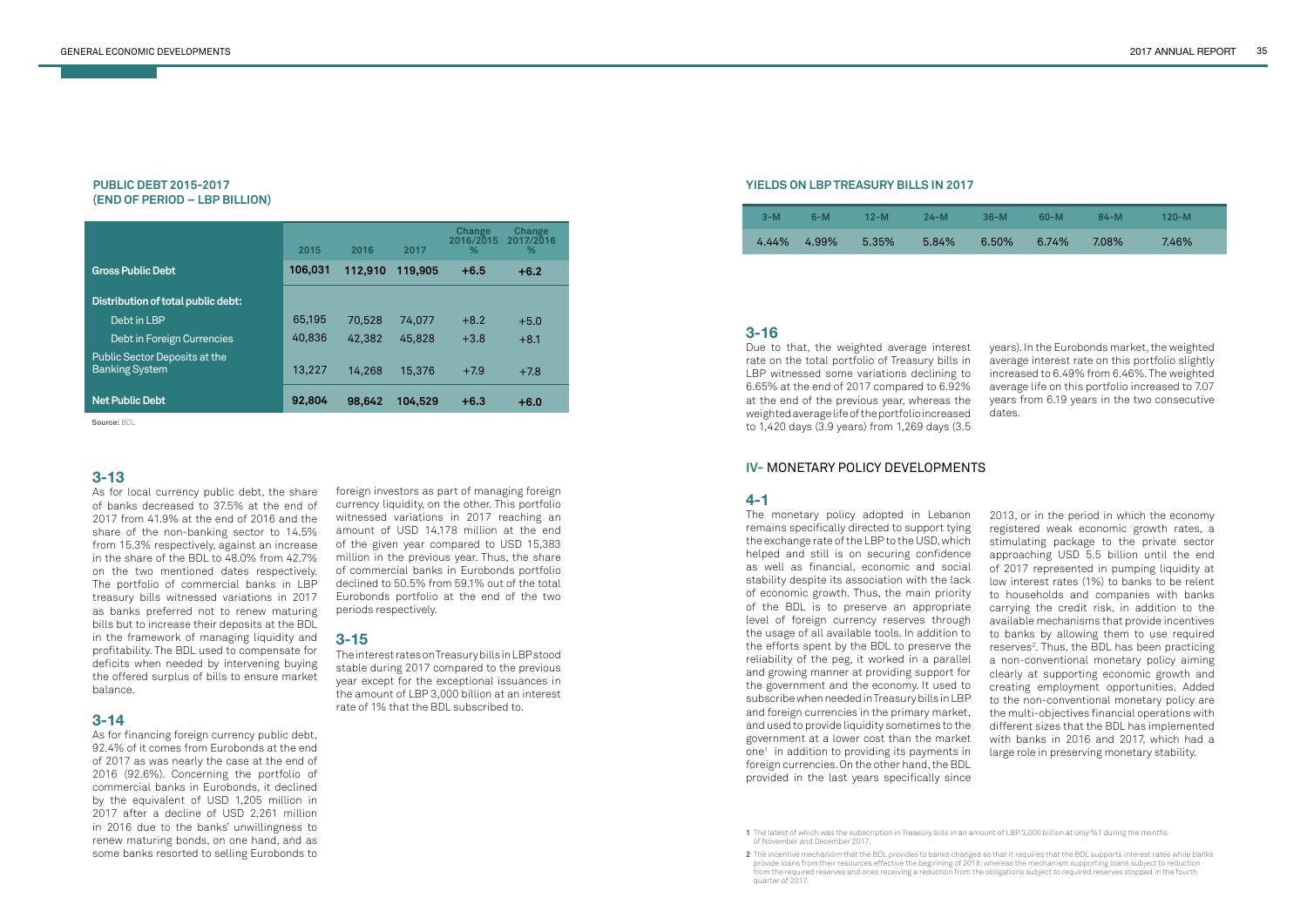#### **PUBLIC DEBT 2015-2017 (END OF PERIOD – LBP BILLION)**

|                                                        | 2015    | 2016    | 2017    | <b>Change</b><br>2016/2015<br>% | <b>Change</b><br>2017/2016<br>% |
|--------------------------------------------------------|---------|---------|---------|---------------------------------|---------------------------------|
| <b>Gross Public Debt</b>                               | 106,031 | 112,910 | 119,905 | $+6.5$                          | $+6.2$                          |
| Distribution of total public debt:                     |         |         |         |                                 |                                 |
| Debt in LBP                                            | 65,195  | 70,528  | 74.077  | $+8.2$                          | $+5.0$                          |
| Debt in Foreign Currencies                             | 40,836  | 42,382  | 45,828  | $+3.8$                          | $+8.1$                          |
| Public Sector Deposits at the<br><b>Banking System</b> | 13,227  | 14,268  | 15,376  | $+7.9$                          | $+7.8$                          |
| <b>Net Public Debt</b>                                 | 92,804  | 98,642  | 104.529 | $+6.3$                          | $+6.0$                          |

#### **YIELDS ON LBP TREASURY BILLS IN 2017**

**Source:** BDL

**2** The incentive mechanism that the BDL provides to banks changed so that it requires that the BDL supports interest rates while banks

## **3-13**

As for local currency public debt, the share of banks decreased to 37.5% at the end of 2017 from 41.9% at the end of 2016 and the share of the non-banking sector to 14.5% from 15.3% respectively, against an increase in the share of the BDL to 48.0% from 42.7% on the two mentioned dates respectively. The portfolio of commercial banks in LBP treasury bills witnessed variations in 2017 as banks preferred not to renew maturing bills but to increase their deposits at the BDL in the framework of managing liquidity and profitability. The BDL used to compensate for deficits when needed by intervening buying the offered surplus of bills to ensure market balance.

#### **3-14**

As for financing foreign currency public debt, 92.4% of it comes from Eurobonds at the end of 2017 as was nearly the case at the end of 2016 (92.6%). Concerning the portfolio of commercial banks in Eurobonds, it declined by the equivalent of USD 1,205 million in 2017 after a decline of USD 2,261 million in 2016 due to the banks' unwillingness to renew maturing bonds, on one hand, and as some banks resorted to selling Eurobonds to

# **3-16**

Due to that, the weighted average interest rate on the total portfolio of Treasury bills in LBP witnessed some variations declining to 6.65% at the end of 2017 compared to 6.92% at the end of the previous year, whereas the weighted average life of the portfolio increased to 1,420 days (3.9 years) from 1,269 days (3.5

years). In the Eurobonds market, the weighted average interest rate on this portfolio slightly increased to 6.49% from 6.46%. The weighted average life on this portfolio increased to 7.07 years from 6.19 years in the two consecutive dates.

foreign investors as part of managing foreign currency liquidity, on the other. This portfolio witnessed variations in 2017 reaching an amount of USD 14,178 million at the end of the given year compared to USD 15,383 million in the previous year. Thus, the share of commercial banks in Eurobonds portfolio declined to 50.5% from 59.1% out of the total Eurobonds portfolio at the end of the two periods respectively.

# **3-15**

The interest rates on Treasury bills in LBP stood stable during 2017 compared to the previous year except for the exceptional issuances in the amount of LBP 3,000 billion at an interest rate of 1% that the BDL subscribed to.

| $3-M$ | $6-M$     | $12-M$ | $24-M$   | $36-M$ | $60-M$ | 84-M  | $120 - M$ |  |
|-------|-----------|--------|----------|--------|--------|-------|-----------|--|
| 4.44% | $-4.99\%$ | 5.35%  | $5.84\%$ | 6.50%  | 6.74%  | 7.08% | 7.46%     |  |

# **IV-** MONETARY POLICY DEVELOPMENTS

# **4-1**

The monetary policy adopted in Lebanon remains specifically directed to support tying the exchange rate of the LBP to the USD, which helped and still is on securing confidence as well as financial, economic and social stability despite its association with the lack of economic growth. Thus, the main priority of the BDL is to preserve an appropriate level of foreign currency reserves through the usage of all available tools. In addition to the efforts spent by the BDL to preserve the reliability of the peg, it worked in a parallel and growing manner at providing support for the government and the economy. It used to subscribe when needed in Treasury bills in LBP and foreign currencies in the primary market, and used to provide liquidity sometimes to the government at a lower cost than the market one1 in addition to providing its payments in foreign currencies. On the other hand, the BDL provided in the last years specifically since

2013, or in the period in which the economy registered weak economic growth rates, a stimulating package to the private sector approaching USD 5.5 billion until the end of 2017 represented in pumping liquidity at low interest rates (1%) to banks to be relent to households and companies with banks carrying the credit risk, in addition to the available mechanisms that provide incentives to banks by allowing them to use required reserves<sup>2</sup>. Thus, the BDL has been practicing a non-conventional monetary policy aiming clearly at supporting economic growth and creating employment opportunities. Added to the non-conventional monetary policy are the multi-objectives financial operations with different sizes that the BDL has implemented with banks in 2016 and 2017, which had a large role in preserving monetary stability.

provide loans from their resources effective the beginning of 2018, whereas the mechanism supporting loans subject to reduction from the required reserves and ones receiving a reduction from the obligations subject to required reserves stopped in the fourth quarter of 2017.

**<sup>1</sup>** The latest of which was the subscription in Treasury bills in an amount of LBP 3,000 billion at only %1 during the months of November and December 2017.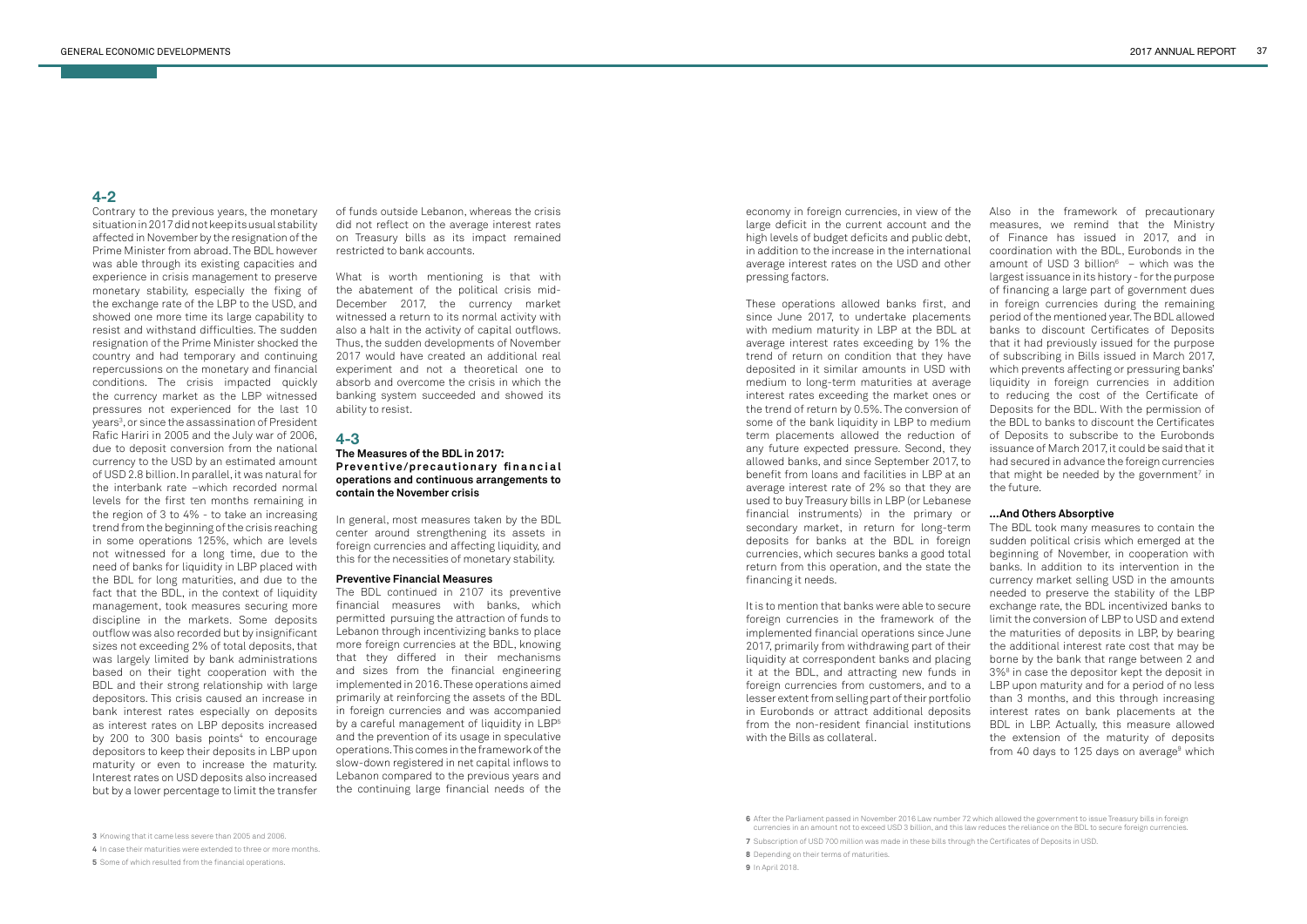Contrary to the previous years, the monetary situation in 2017 did not keep its usual stability affected in November by the resignation of the Prime Minister from abroad. The BDL however was able through its existing capacities and experience in crisis management to preserve monetary stability, especially the fixing of the exchange rate of the LBP to the USD, and showed one more time its large capability to resist and withstand difficulties. The sudden resignation of the Prime Minister shocked the country and had temporary and continuing repercussions on the monetary and financial conditions. The crisis impacted quickly the currency market as the LBP witnessed pressures not experienced for the last 10 years<sup>3</sup>, or since the assassination of President Rafic Hariri in 2005 and the July war of 2006, due to deposit conversion from the national currency to the USD by an estimated amount of USD 2.8 billion. In parallel, it was natural for the interbank rate –which recorded normal levels for the first ten months remaining in the region of 3 to 4% - to take an increasing trend from the beginning of the crisis reaching in some operations 125%, which are levels not witnessed for a long time, due to the need of banks for liquidity in LBP placed with the BDL for long maturities, and due to the fact that the BDL, in the context of liquidity management, took measures securing more discipline in the markets. Some deposits outflow was also recorded but by insignificant sizes not exceeding 2% of total deposits, that was largely limited by bank administrations based on their tight cooperation with the BDL and their strong relationship with large depositors. This crisis caused an increase in bank interest rates especially on deposits as interest rates on LBP deposits increased by 200 to 300 basis points $4$  to encourage depositors to keep their deposits in LBP upon maturity or even to increase the maturity. Interest rates on USD deposits also increased but by a lower percentage to limit the transfer

of funds outside Lebanon, whereas the crisis did not reflect on the average interest rates on Treasury bills as its impact remained restricted to bank accounts.

What is worth mentioning is that with the abatement of the political crisis mid-December 2017, the currency market witnessed a return to its normal activity with also a halt in the activity of capital outflows. Thus, the sudden developments of November 2017 would have created an additional real experiment and not a theoretical one to absorb and overcome the crisis in which the banking system succeeded and showed its ability to resist.

### **4-3**

#### **The Measures of the BDL in 2017: Preventive/precautionary financial operations and continuous arrangements to contain the November crisis**

In general, most measures taken by the BDL center around strengthening its assets in foreign currencies and affecting liquidity, and this for the necessities of monetary stability.

#### **Preventive Financial Measures**

The BDL took many measures to contain the sudden political crisis which emerged at the beginning of November, in cooperation with banks. In addition to its intervention in the currency market selling USD in the amounts needed to preserve the stability of the LBP exchange rate, the BDL incentivized banks to limit the conversion of LBP to USD and extend the maturities of deposits in LBP, by bearing the additional interest rate cost that may be borne by the bank that range between 2 and 3%8 in case the depositor kept the deposit in LBP upon maturity and for a period of no less than 3 months, and this through increasing interest rates on bank placements at the BDL in LBP. Actually, this measure allowed the extension of the maturity of deposits from 40 days to 125 days on average<sup>9</sup> which

The BDL continued in 2107 its preventive financial measures with banks, which permitted pursuing the attraction of funds to Lebanon through incentivizing banks to place more foreign currencies at the BDL, knowing that they differed in their mechanisms and sizes from the financial engineering implemented in 2016. These operations aimed primarily at reinforcing the assets of the BDL in foreign currencies and was accompanied by a careful management of liquidity in LBP<sup>5</sup> and the prevention of its usage in speculative operations. This comes in the framework of the slow-down registered in net capital inflows to Lebanon compared to the previous years and the continuing large financial needs of the economy in foreign currencies, in view of the large deficit in the current account and the high levels of budget deficits and public debt, in addition to the increase in the international average interest rates on the USD and other pressing factors.

These operations allowed banks first, and since June 2017, to undertake placements with medium maturity in LBP at the BDL at average interest rates exceeding by 1% the trend of return on condition that they have deposited in it similar amounts in USD with medium to long-term maturities at average interest rates exceeding the market ones or the trend of return by 0.5%. The conversion of some of the bank liquidity in LBP to medium term placements allowed the reduction of any future expected pressure. Second, they allowed banks, and since September 2017, to benefit from loans and facilities in LBP at an average interest rate of 2% so that they are used to buy Treasury bills in LBP (or Lebanese financial instruments) in the primary or secondary market, in return for long-term deposits for banks at the BDL in foreign currencies, which secures banks a good total return from this operation, and the state the financing it needs.

It is to mention that banks were able to secure foreign currencies in the framework of the implemented financial operations since June 2017, primarily from withdrawing part of their liquidity at correspondent banks and placing it at the BDL, and attracting new funds in foreign currencies from customers, and to a lesser extent from selling part of their portfolio in Eurobonds or attract additional deposits from the non-resident financial institutions with the Bills as collateral.

Also in the framework of precautionary measures, we remind that the Ministry of Finance has issued in 2017, and in coordination with the BDL, Eurobonds in the amount of USD 3 billion $6 -$  which was the largest issuance in its history - for the purpose of financing a large part of government dues in foreign currencies during the remaining period of the mentioned year. The BDL allowed banks to discount Certificates of Deposits that it had previously issued for the purpose of subscribing in Bills issued in March 2017, which prevents affecting or pressuring banks' liquidity in foreign currencies in addition to reducing the cost of the Certificate of Deposits for the BDL. With the permission of the BDL to banks to discount the Certificates of Deposits to subscribe to the Eurobonds issuance of March 2017, it could be said that it had secured in advance the foreign currencies that might be needed by the government<sup>7</sup> in the future.

#### **...And Others Absorptive**

**4** In case their maturities were extended to three or more months.

**6** After the Parliament passed in November 2016 Law number 72 which allowed the government to issue Treasury bills in foreign

**<sup>3</sup>** Knowing that it came less severe than 2005 and 2006.

**<sup>5</sup>** Some of which resulted from the financial operations.

currencies in an amount not to exceed USD 3 billion, and this law reduces the reliance on the BDL to secure foreign currencies.

**<sup>7</sup>** Subscription of USD 700 million was made in these bills through the Certificates of Deposits in USD.

**<sup>8</sup>** Depending on their terms of maturities.

**<sup>9</sup>** In April 2018.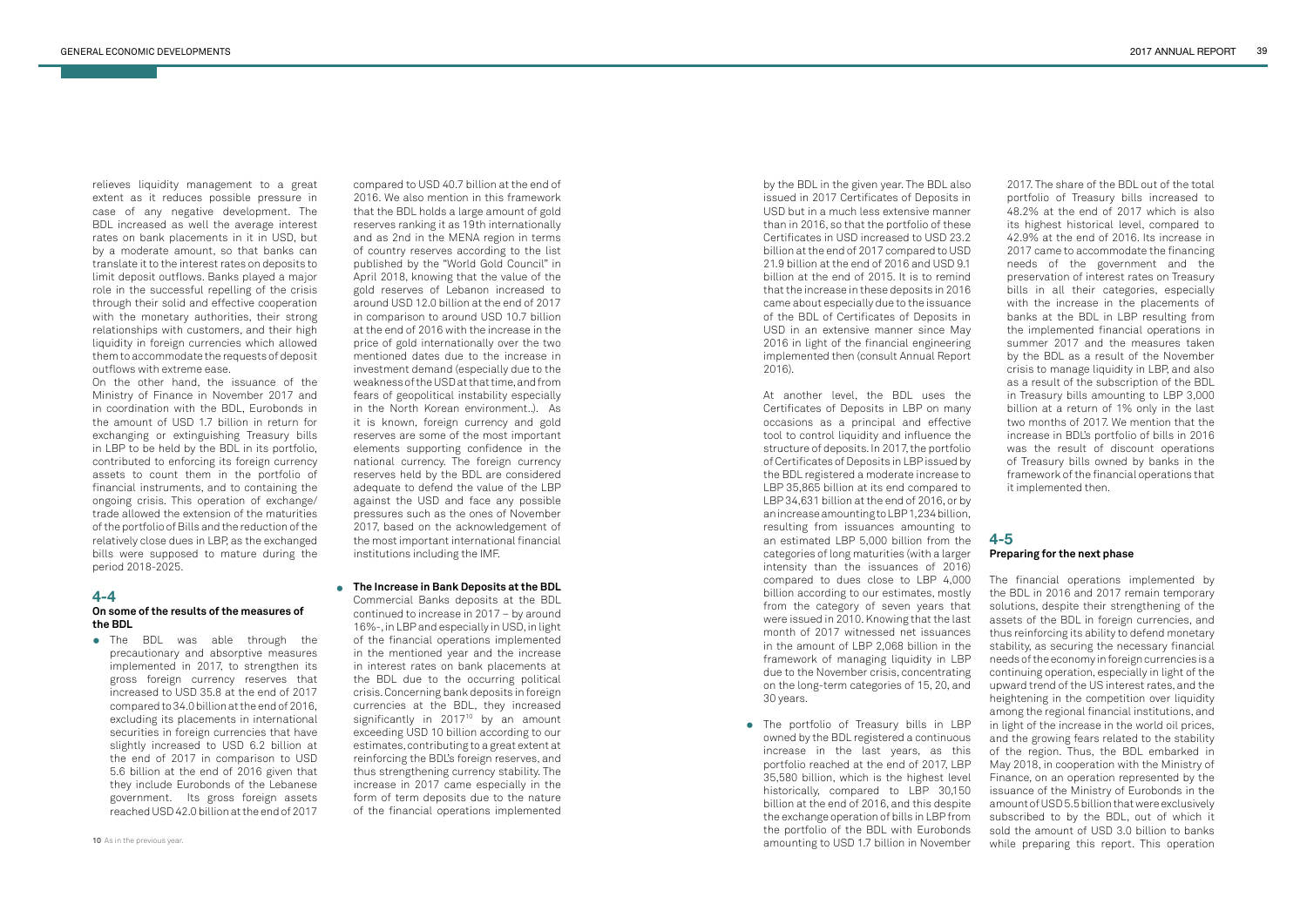relieves liquidity management to a great extent as it reduces possible pressure in case of any negative development. The BDL increased as well the average interest rates on bank placements in it in USD, but by a moderate amount, so that banks can translate it to the interest rates on deposits to limit deposit outflows. Banks played a major role in the successful repelling of the crisis through their solid and effective cooperation with the monetary authorities, their strong relationships with customers, and their high liquidity in foreign currencies which allowed them to accommodate the requests of deposit outflows with extreme ease.

On the other hand, the issuance of the Ministry of Finance in November 2017 and in coordination with the BDL, Eurobonds in the amount of USD 1.7 billion in return for exchanging or extinguishing Treasury bills in LBP to be held by the BDL in its portfolio, contributed to enforcing its foreign currency assets to count them in the portfolio of financial instruments, and to containing the ongoing crisis. This operation of exchange/ trade allowed the extension of the maturities of the portfolio of Bills and the reduction of the relatively close dues in LBP, as the exchanged bills were supposed to mature during the period 2018-2025.

#### **4-4**

#### **On some of the results of the measures of the BDL**

# **4-5 Preparing for the next phase**

**•** The BDL was able through the precautionary and absorptive measures implemented in 2017, to strengthen its gross foreign currency reserves that increased to USD 35.8 at the end of 2017 compared to 34.0 billion at the end of 2016, excluding its placements in international securities in foreign currencies that have slightly increased to USD 6.2 billion at the end of 2017 in comparison to USD 5.6 billion at the end of 2016 given that they include Eurobonds of the Lebanese government. Its gross foreign assets reached USD 42.0 billion at the end of 2017

The financial operations implemented by the BDL in 2016 and 2017 remain temporary solutions, despite their strengthening of the assets of the BDL in foreign currencies, and thus reinforcing its ability to defend monetary stability, as securing the necessary financial needs of the economy in foreign currencies is a continuing operation, especially in light of the upward trend of the US interest rates, and the heightening in the competition over liquidity among the regional financial institutions, and in light of the increase in the world oil prices, and the growing fears related to the stability of the region. Thus, the BDL embarked in May 2018, in cooperation with the Ministry of Finance, on an operation represented by the issuance of the Ministry of Eurobonds in the amount of USD 5.5 billion that were exclusively subscribed to by the BDL, out of which it sold the amount of USD 3.0 billion to banks while preparing this report. This operation

• The portfolio of Treasury bills in LBP owned by the BDL registered a continuous increase in the last years, as this portfolio reached at the end of 2017, LBP 35,580 billion, which is the highest level historically, compared to LBP 30,150 billion at the end of 2016, and this despite the exchange operation of bills in LBP from the portfolio of the BDL with Eurobonds amounting to USD 1.7 billion in November

**The Increase in Bank Deposits at the BDL •** Commercial Banks deposits at the BDL continued to increase in 2017 – by around 16%-, in LBP and especially in USD, in light of the financial operations implemented in the mentioned year and the increase in interest rates on bank placements at the BDL due to the occurring political crisis. Concerning bank deposits in foreign currencies at the BDL, they increased significantly in  $2017^{10}$  by an amount exceeding USD 10 billion according to our estimates, contributing to a great extent at reinforcing the BDL's foreign reserves, and thus strengthening currency stability. The increase in 2017 came especially in the form of term deposits due to the nature of the financial operations implemented by the BDL in the given year. The BDL also issued in 2017 Certificates of Deposits in USD but in a much less extensive manner than in 2016, so that the portfolio of these Certificates in USD increased to USD 23.2 billion at the end of 2017 compared to USD 21.9 billion at the end of 2016 and USD 9.1 billion at the end of 2015. It is to remind that the increase in these deposits in 2016 came about especially due to the issuance of the BDL of Certificates of Deposits in USD in an extensive manner since May 2016 in light of the financial engineering implemented then (consult Annual Report 2016).

At another level, the BDL uses the Certificates of Deposits in LBP on many occasions as a principal and effective tool to control liquidity and influence the structure of deposits. In 2017, the portfolio of Certificates of Deposits in LBP issued by the BDL registered a moderate increase to LBP 35,865 billion at its end compared to LBP 34,631 billion at the end of 2016, or by an increase amounting to LBP 1,234 billion, resulting from issuances amounting to an estimated LBP 5,000 billion from the categories of long maturities (with a larger intensity than the issuances of 2016) compared to dues close to LBP 4,000 billion according to our estimates, mostly from the category of seven years that were issued in 2010. Knowing that the last month of 2017 witnessed net issuances in the amount of LBP 2,068 billion in the framework of managing liquidity in LBP due to the November crisis, concentrating on the long-term categories of 15, 20, and 30 years.

2017. The share of the BDL out of the total portfolio of Treasury bills increased to 48.2% at the end of 2017 which is also its highest historical level, compared to 42.9% at the end of 2016. Its increase in 2017 came to accommodate the financing needs of the government and the preservation of interest rates on Treasury bills in all their categories, especially with the increase in the placements of banks at the BDL in LBP resulting from the implemented financial operations in summer 2017 and the measures taken by the BDL as a result of the November crisis to manage liquidity in LBP, and also as a result of the subscription of the BDL in Treasury bills amounting to LBP 3,000 billion at a return of 1% only in the last two months of 2017. We mention that the increase in BDL's portfolio of bills in 2016 was the result of discount operations of Treasury bills owned by banks in the framework of the financial operations that it implemented then.

compared to USD 40.7 billion at the end of 2016. We also mention in this framework that the BDL holds a large amount of gold reserves ranking it as 19th internationally and as 2nd in the MENA region in terms of country reserves according to the list published by the "World Gold Council" in April 2018, knowing that the value of the gold reserves of Lebanon increased to around USD 12.0 billion at the end of 2017 in comparison to around USD 10.7 billion at the end of 2016 with the increase in the price of gold internationally over the two mentioned dates due to the increase in investment demand (especially due to the weakness of the USD at that time, and from fears of geopolitical instability especially in the North Korean environment..). As it is known, foreign currency and gold reserves are some of the most important elements supporting confidence in the national currency. The foreign currency reserves held by the BDL are considered adequate to defend the value of the LBP against the USD and face any possible pressures such as the ones of November 2017, based on the acknowledgement of the most important international financial institutions including the IMF.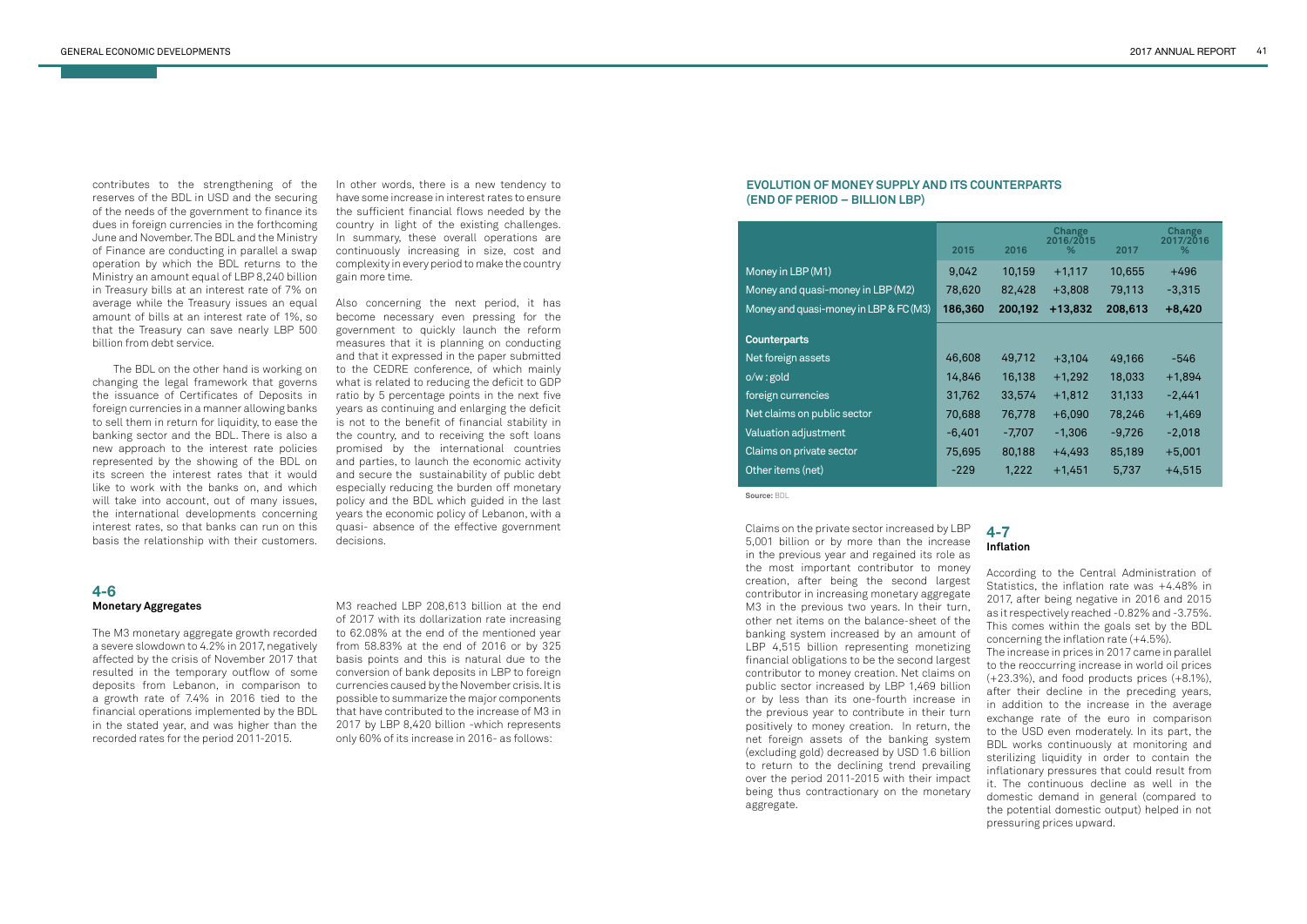contributes to the strengthening of the reserves of the BDL in USD and the securing of the needs of the government to finance its dues in foreign currencies in the forthcoming June and November. The BDL and the Ministry of Finance are conducting in parallel a swap operation by which the BDL returns to the Ministry an amount equal of LBP 8,240 billion in Treasury bills at an interest rate of 7% on average while the Treasury issues an equal amount of bills at an interest rate of 1%, so that the Treasury can save nearly LBP 500 billion from debt service.

 The BDL on the other hand is working on changing the legal framework that governs the issuance of Certificates of Deposits in foreign currencies in a manner allowing banks to sell them in return for liquidity, to ease the banking sector and the BDL. There is also a new approach to the interest rate policies represented by the showing of the BDL on its screen the interest rates that it would like to work with the banks on, and which will take into account, out of many issues, the international developments concerning interest rates, so that banks can run on this basis the relationship with their customers.

In other words, there is a new tendency to have some increase in interest rates to ensure the sufficient financial flows needed by the country in light of the existing challenges. In summary, these overall operations are continuously increasing in size, cost and complexity in every period to make the country gain more time.

Also concerning the next period, it has become necessary even pressing for the government to quickly launch the reform measures that it is planning on conducting and that it expressed in the paper submitted to the CEDRE conference, of which mainly what is related to reducing the deficit to GDP ratio by 5 percentage points in the next five years as continuing and enlarging the deficit is not to the benefit of financial stability in the country, and to receiving the soft loans promised by the international countries and parties, to launch the economic activity and secure the sustainability of public debt especially reducing the burden off monetary policy and the BDL which guided in the last years the economic policy of Lebanon, with a quasi- absence of the effective government decisions.

Claims on the private sector increased by LBP 5,001 billion or by more than the increase in the previous year and regained its role as the most important contributor to money creation, after being the second largest contributor in increasing monetary aggregate M3 in the previous two years. In their turn, other net items on the balance-sheet of the banking system increased by an amount of LBP 4,515 billion representing monetizing financial obligations to be the second largest contributor to money creation. Net claims on public sector increased by LBP 1,469 billion or by less than its one-fourth increase in the previous year to contribute in their turn positively to money creation. In return, the net foreign assets of the banking system (excluding gold) decreased by USD 1.6 billion to return to the declining trend prevailing over the period 2011-2015 with their impact being thus contractionary on the monetary aggregate.

#### **4-6 Monetary Aggregates**

The M3 monetary aggregate growth recorded a severe slowdown to 4.2% in 2017, negatively affected by the crisis of November 2017 that resulted in the temporary outflow of some deposits from Lebanon, in comparison to a growth rate of 7.4% in 2016 tied to the financial operations implemented by the BDL in the stated year, and was higher than the recorded rates for the period 2011-2015.

# **4-7 Inflation**

According to the Central Administration of Statistics, the inflation rate was +4.48% in 2017, after being negative in 2016 and 2015 as it respectively reached -0.82% and -3.75%. This comes within the goals set by the BDL concerning the inflation rate (+4.5%).

The increase in prices in 2017 came in parallel to the reoccurring increase in world oil prices (+23.3%), and food products prices (+8.1%), after their decline in the preceding years, in addition to the increase in the average exchange rate of the euro in comparison to the USD even moderately. In its part, the BDL works continuously at monitoring and sterilizing liquidity in order to contain the inflationary pressures that could result from it. The continuous decline as well in the domestic demand in general (compared to the potential domestic output) helped in not pressuring prices upward.

M3 reached LBP 208,613 billion at the end of 2017 with its dollarization rate increasing to 62.08% at the end of the mentioned year from 58.83% at the end of 2016 or by 325 basis points and this is natural due to the conversion of bank deposits in LBP to foreign currencies caused by the November crisis. It is possible to summarize the major components that have contributed to the increase of M3 in 2017 by LBP 8,420 billion -which represents only 60% of its increase in 2016- as follows:

#### **EVOLUTION OF MONEY SUPPLY AND ITS COUNTERPARTS (END OF PERIOD – BILLION LBP)**

|                                        | 2015     | 2016     | <b>Change</b><br>2016/2015<br>% | 2017     | Change<br>2017/2016<br>% |
|----------------------------------------|----------|----------|---------------------------------|----------|--------------------------|
| Money in LBP (M1)                      | 9,042    | 10,159   | $+1,117$                        | 10,655   | $+496$                   |
| Money and quasi-money in LBP (M2)      | 78,620   | 82,428   | $+3,808$                        | 79,113   | $-3,315$                 |
| Money and quasi-money in LBP & FC (M3) | 186,360  | 200,192  | $+13,832$                       | 208,613  | $+8,420$                 |
| <b>Counterparts</b>                    |          |          |                                 |          |                          |
| Net foreign assets                     | 46,608   | 49,712   | $+3,104$                        | 49,166   | -546                     |
| o/w:gold                               | 14,846   | 16,138   | $+1,292$                        | 18,033   | $+1,894$                 |
| foreign currencies                     | 31,762   | 33,574   | $+1,812$                        | 31,133   | $-2,441$                 |
| Net claims on public sector            | 70,688   | 76,778   | $+6,090$                        | 78,246   | $+1,469$                 |
| Valuation adjustment                   | $-6,401$ | $-7,707$ | $-1,306$                        | $-9,726$ | $-2,018$                 |
| Claims on private sector               | 75,695   | 80,188   | $+4,493$                        | 85,189   | $+5,001$                 |
| Other items (net)                      | $-229$   | 1,222    | $+1,451$                        | 5,737    | $+4,515$                 |

**Source:** BDL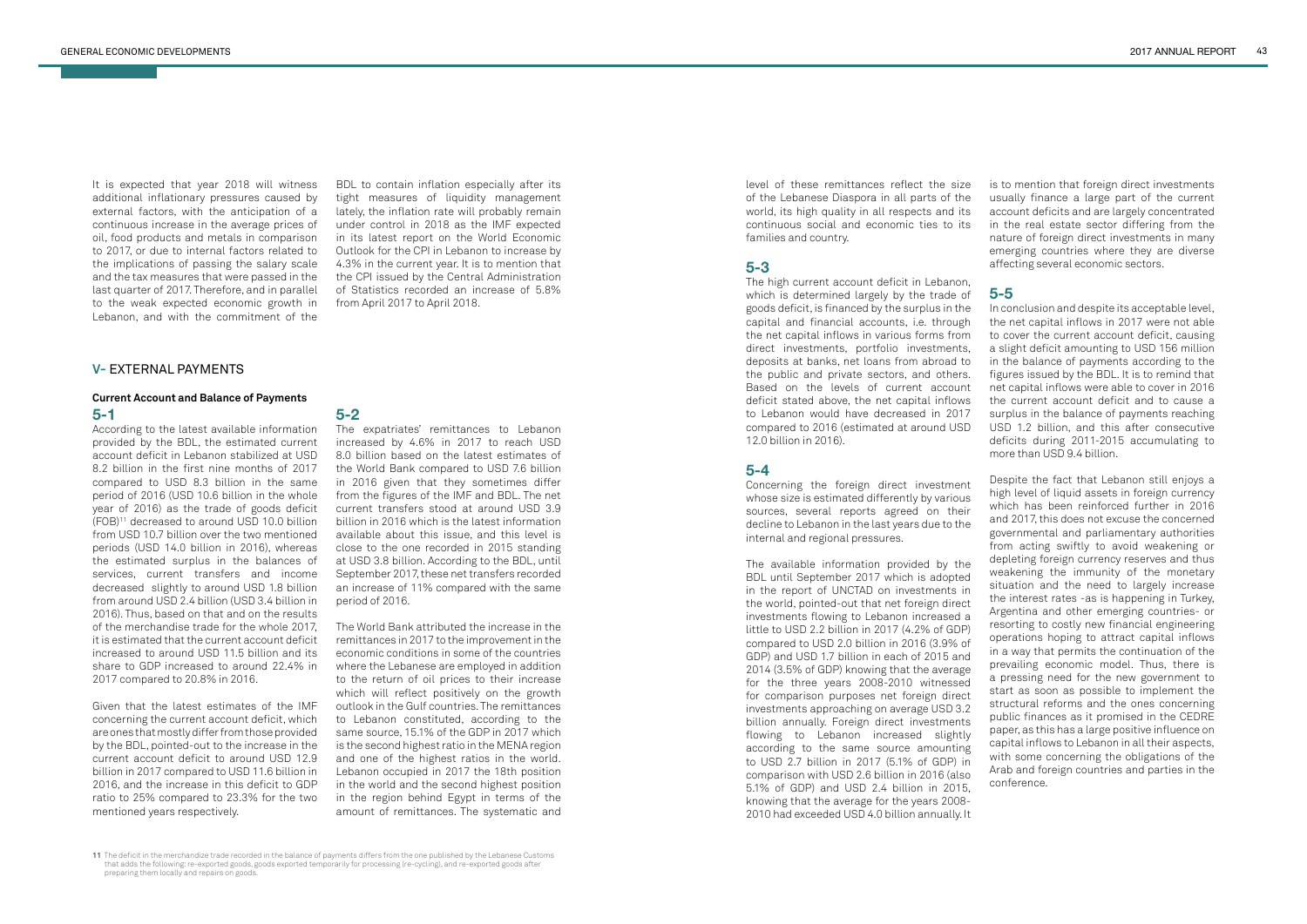## **V-** EXTERNAL PAYMENTS

#### **Current Account and Balance of Payments 5-1**

According to the latest available information provided by the BDL, the estimated current account deficit in Lebanon stabilized at USD 8.2 billion in the first nine months of 2017 compared to USD 8.3 billion in the same period of 2016 (USD 10.6 billion in the whole year of 2016) as the trade of goods deficit (FOB)11 decreased to around USD 10.0 billion from USD 10.7 billion over the two mentioned periods (USD 14.0 billion in 2016), whereas the estimated surplus in the balances of services, current transfers and income decreased slightly to around USD 1.8 billion from around USD 2.4 billion (USD 3.4 billion in 2016). Thus, based on that and on the results of the merchandise trade for the whole 2017, it is estimated that the current account deficit increased to around USD 11.5 billion and its share to GDP increased to around 22.4% in 2017 compared to 20.8% in 2016.

Given that the latest estimates of the IMF concerning the current account deficit, which are ones that mostly differ from those provided by the BDL, pointed-out to the increase in the current account deficit to around USD 12.9 billion in 2017 compared to USD 11.6 billion in 2016, and the increase in this deficit to GDP ratio to 25% compared to 23.3% for the two mentioned years respectively.

# **5-2**

The expatriates' remittances to Lebanon increased by 4.6% in 2017 to reach USD 8.0 billion based on the latest estimates of the World Bank compared to USD 7.6 billion in 2016 given that they sometimes differ from the figures of the IMF and BDL. The net current transfers stood at around USD 3.9 billion in 2016 which is the latest information available about this issue, and this level is close to the one recorded in 2015 standing at USD 3.8 billion. According to the BDL, until September 2017, these net transfers recorded an increase of 11% compared with the same period of 2016.

The World Bank attributed the increase in the remittances in 2017 to the improvement in the economic conditions in some of the countries where the Lebanese are employed in addition to the return of oil prices to their increase which will reflect positively on the growth outlook in the Gulf countries. The remittances to Lebanon constituted, according to the same source, 15.1% of the GDP in 2017 which is the second highest ratio in the MENA region and one of the highest ratios in the world. Lebanon occupied in 2017 the 18th position in the world and the second highest position in the region behind Egypt in terms of the amount of remittances. The systematic and level of these remittances reflect the size of the Lebanese Diaspora in all parts of the world, its high quality in all respects and its continuous social and economic ties to its families and country.

#### **5-3**

The high current account deficit in Lebanon, which is determined largely by the trade of goods deficit, is financed by the surplus in the capital and financial accounts, i.e. through the net capital inflows in various forms from direct investments, portfolio investments, deposits at banks, net loans from abroad to the public and private sectors, and others. Based on the levels of current account deficit stated above, the net capital inflows to Lebanon would have decreased in 2017 compared to 2016 (estimated at around USD 12.0 billion in 2016).

## **5-4**

Concerning the foreign direct investment whose size is estimated differently by various sources, several reports agreed on their decline to Lebanon in the last years due to the internal and regional pressures.

The available information provided by the BDL until September 2017 which is adopted in the report of UNCTAD on investments in the world, pointed-out that net foreign direct investments flowing to Lebanon increased a little to USD 2.2 billion in 2017 (4.2% of GDP) compared to USD 2.0 billion in 2016 (3.9% of GDP) and USD 1.7 billion in each of 2015 and 2014 (3.5% of GDP) knowing that the average for the three years 2008-2010 witnessed for comparison purposes net foreign direct investments approaching on average USD 3.2 billion annually. Foreign direct investments flowing to Lebanon increased slightly according to the same source amounting to USD 2.7 billion in 2017 (5.1% of GDP) in comparison with USD 2.6 billion in 2016 (also 5.1% of GDP) and USD 2.4 billion in 2015, knowing that the average for the years 2008- 2010 had exceeded USD 4.0 billion annually. It

is to mention that foreign direct investments usually finance a large part of the current account deficits and are largely concentrated in the real estate sector differing from the nature of foreign direct investments in many emerging countries where they are diverse affecting several economic sectors.

#### **5-5**

In conclusion and despite its acceptable level, the net capital inflows in 2017 were not able to cover the current account deficit, causing a slight deficit amounting to USD 156 million in the balance of payments according to the figures issued by the BDL. It is to remind that net capital inflows were able to cover in 2016 the current account deficit and to cause a surplus in the balance of payments reaching USD 1.2 billion, and this after consecutive deficits during 2011-2015 accumulating to more than USD 9.4 billion.

Despite the fact that Lebanon still enjoys a high level of liquid assets in foreign currency which has been reinforced further in 2016 and 2017, this does not excuse the concerned governmental and parliamentary authorities from acting swiftly to avoid weakening or depleting foreign currency reserves and thus weakening the immunity of the monetary situation and the need to largely increase the interest rates -as is happening in Turkey, Argentina and other emerging countries- or resorting to costly new financial engineering operations hoping to attract capital inflows in a way that permits the continuation of the prevailing economic model. Thus, there is a pressing need for the new government to start as soon as possible to implement the structural reforms and the ones concerning public finances as it promised in the CEDRE paper, as this has a large positive influence on capital inflows to Lebanon in all their aspects, with some concerning the obligations of the Arab and foreign countries and parties in the conference.

It is expected that year 2018 will witness additional inflationary pressures caused by external factors, with the anticipation of a continuous increase in the average prices of oil, food products and metals in comparison to 2017, or due to internal factors related to the implications of passing the salary scale and the tax measures that were passed in the last quarter of 2017. Therefore, and in parallel to the weak expected economic growth in Lebanon, and with the commitment of the

BDL to contain inflation especially after its tight measures of liquidity management lately, the inflation rate will probably remain under control in 2018 as the IMF expected in its latest report on the World Economic Outlook for the CPI in Lebanon to increase by 4.3% in the current year. It is to mention that the CPI issued by the Central Administration of Statistics recorded an increase of 5.8% from April 2017 to April 2018.

**<sup>11</sup>** The deficit in the merchandize trade recorded in the balance of payments differs from the one published by the Lebanese Customs that adds the following: re-exported goods, goods exported temporarily for processing (re-cycling), and re-exported goods after preparing them locally and repairs on goods.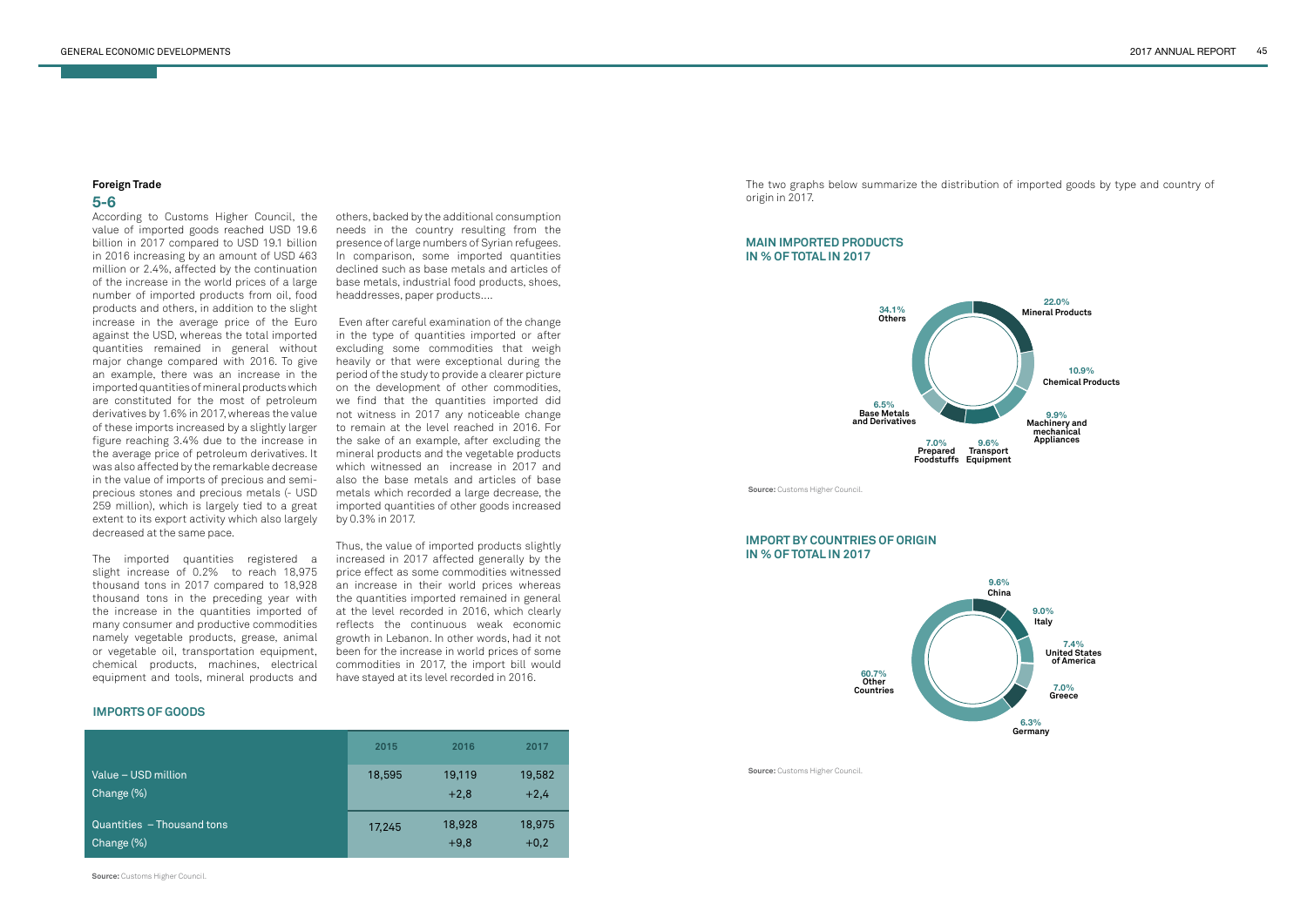# **Foreign Trade**

# **5-6**

According to Customs Higher Council, the value of imported goods reached USD 19.6 billion in 2017 compared to USD 19.1 billion in 2016 increasing by an amount of USD 463 million or 2.4%, affected by the continuation of the increase in the world prices of a large number of imported products from oil, food products and others, in addition to the slight increase in the average price of the Euro against the USD, whereas the total imported quantities remained in general without major change compared with 2016. To give an example, there was an increase in the imported quantities of mineral products which are constituted for the most of petroleum derivatives by 1.6% in 2017, whereas the value of these imports increased by a slightly larger figure reaching 3.4% due to the increase in the average price of petroleum derivatives. It was also affected by the remarkable decrease in the value of imports of precious and semiprecious stones and precious metals (- USD 259 million), which is largely tied to a great extent to its export activity which also largely decreased at the same pace.

The imported quantities registered a slight increase of 0.2% to reach 18,975 thousand tons in 2017 compared to 18,928 thousand tons in the preceding year with the increase in the quantities imported of many consumer and productive commodities namely vegetable products, grease, animal or vegetable oil, transportation equipment, chemical products, machines, electrical equipment and tools, mineral products and others, backed by the additional consumption needs in the country resulting from the presence of large numbers of Syrian refugees. In comparison, some imported quantities declined such as base metals and articles of base metals, industrial food products, shoes, headdresses, paper products….

 Even after careful examination of the change in the type of quantities imported or after excluding some commodities that weigh heavily or that were exceptional during the period of the study to provide a clearer picture on the development of other commodities, we find that the quantities imported did not witness in 2017 any noticeable change to remain at the level reached in 2016. For the sake of an example, after excluding the mineral products and the vegetable products which witnessed an increase in 2017 and also the base metals and articles of base metals which recorded a large decrease, the imported quantities of other goods increased by 0.3% in 2017.

Thus, the value of imported products slightly increased in 2017 affected generally by the price effect as some commodities witnessed an increase in their world prices whereas the quantities imported remained in general at the level recorded in 2016, which clearly reflects the continuous weak economic growth in Lebanon. In other words, had it not been for the increase in world prices of some commodities in 2017, the import bill would have stayed at its level recorded in 2016.

The two graphs below summarize the distribution of imported goods by type and country of origin in 2017.







#### **IMPORTS OF GOODS**

### **MAIN IMPORTED PRODUCTS IN % OF TOTAL IN 2017**

|                            | 2015   | 2016   | 2017   |
|----------------------------|--------|--------|--------|
| Value - USD million        | 18,595 | 19,119 | 19,582 |
| Change (%)                 |        | $+2,8$ | $+2,4$ |
| Quantities - Thousand tons | 17,245 | 18,928 | 18,975 |
| Change (%)                 |        | $+9,8$ | $+0,2$ |

## **IMPORT BY COUNTRIES OF ORIGIN IN % OF TOTAL IN 2017**

**Source:** Customs Higher Council.

**Source:** Customs Higher Council.

**Source:** Customs Higher Council.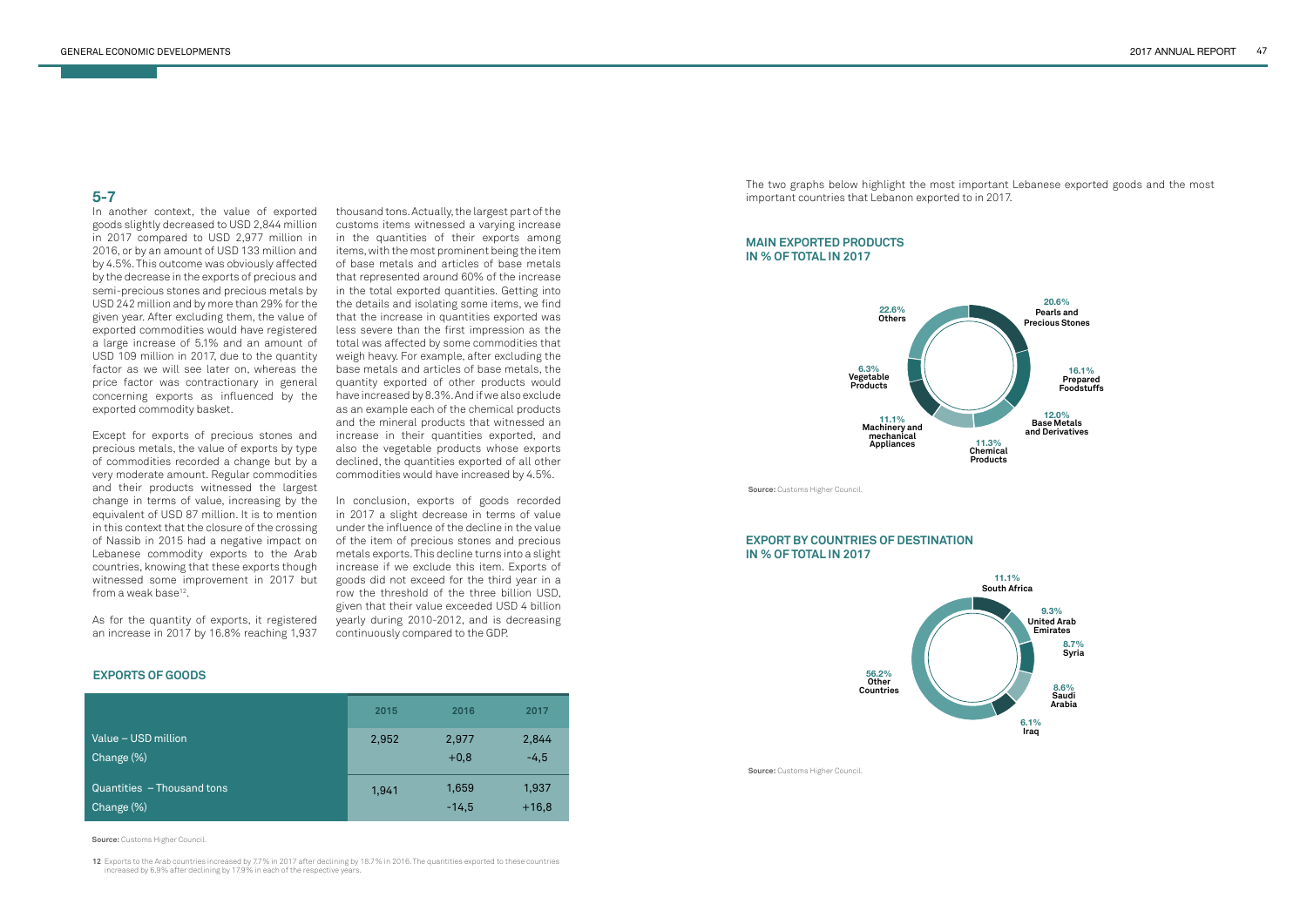Except for exports of precious stones and precious metals, the value of exports by type of commodities recorded a change but by a very moderate amount. Regular commodities and their products witnessed the largest change in terms of value, increasing by the equivalent of USD 87 million. It is to mention in this context that the closure of the crossing of Nassib in 2015 had a negative impact on Lebanese commodity exports to the Arab countries, knowing that these exports though witnessed some improvement in 2017 but from a weak base $12$ .

In another context, the value of exported goods slightly decreased to USD 2,844 million in 2017 compared to USD 2,977 million in 2016, or by an amount of USD 133 million and by 4.5%. This outcome was obviously affected by the decrease in the exports of precious and semi-precious stones and precious metals by USD 242 million and by more than 29% for the given year. After excluding them, the value of exported commodities would have registered a large increase of 5.1% and an amount of USD 109 million in 2017, due to the quantity factor as we will see later on, whereas the price factor was contractionary in general concerning exports as influenced by the exported commodity basket.

As for the quantity of exports, it registered an increase in 2017 by 16.8% reaching 1,937 thousand tons. Actually, the largest part of the customs items witnessed a varying increase in the quantities of their exports among items, with the most prominent being the item of base metals and articles of base metals that represented around 60% of the increase in the total exported quantities. Getting into the details and isolating some items, we find that the increase in quantities exported was less severe than the first impression as the total was affected by some commodities that weigh heavy. For example, after excluding the base metals and articles of base metals, the quantity exported of other products would have increased by 8.3%. And if we also exclude as an example each of the chemical products and the mineral products that witnessed an increase in their quantities exported, and also the vegetable products whose exports declined, the quantities exported of all other commodities would have increased by 4.5%.

In conclusion, exports of goods recorded in 2017 a slight decrease in terms of value under the influence of the decline in the value of the item of precious stones and precious metals exports. This decline turns into a slight increase if we exclude this item. Exports of goods did not exceed for the third year in a row the threshold of the three billion USD, given that their value exceeded USD 4 billion yearly during 2010-2012, and is decreasing continuously compared to the GDP.

|                            | 2015  | 2016    | 2017    |
|----------------------------|-------|---------|---------|
| Value - USD million        | 2,952 | 2,977   | 2,844   |
| Change (%)                 |       | $+0,8$  | $-4,5$  |
| Quantities - Thousand tons | 1,941 | 1,659   | 1,937   |
| Change (%)                 |       | $-14,5$ | $+16,8$ |

**EXPORTS OF GOODS**

**Source:** Customs Higher Council.

**12** Exports to the Arab countries increased by 7.7 % in 2017 after declining by 18.7 % in 2016. The quantities exported to these countries increased by 6.9 % after declining by 17.9 % in each of the respective years.

The two graphs below highlight the most important Lebanese exported goods and the most important countries that Lebanon exported to in 2017.





#### **MAIN EXPORTED PRODUCTS IN % OF TOTAL IN 2017**

#### **EXPORT BY COUNTRIES OF DESTINATION IN % OF TOTAL IN 2017**

**Source:** Customs Higher Council.

**Source:** Customs Higher Council.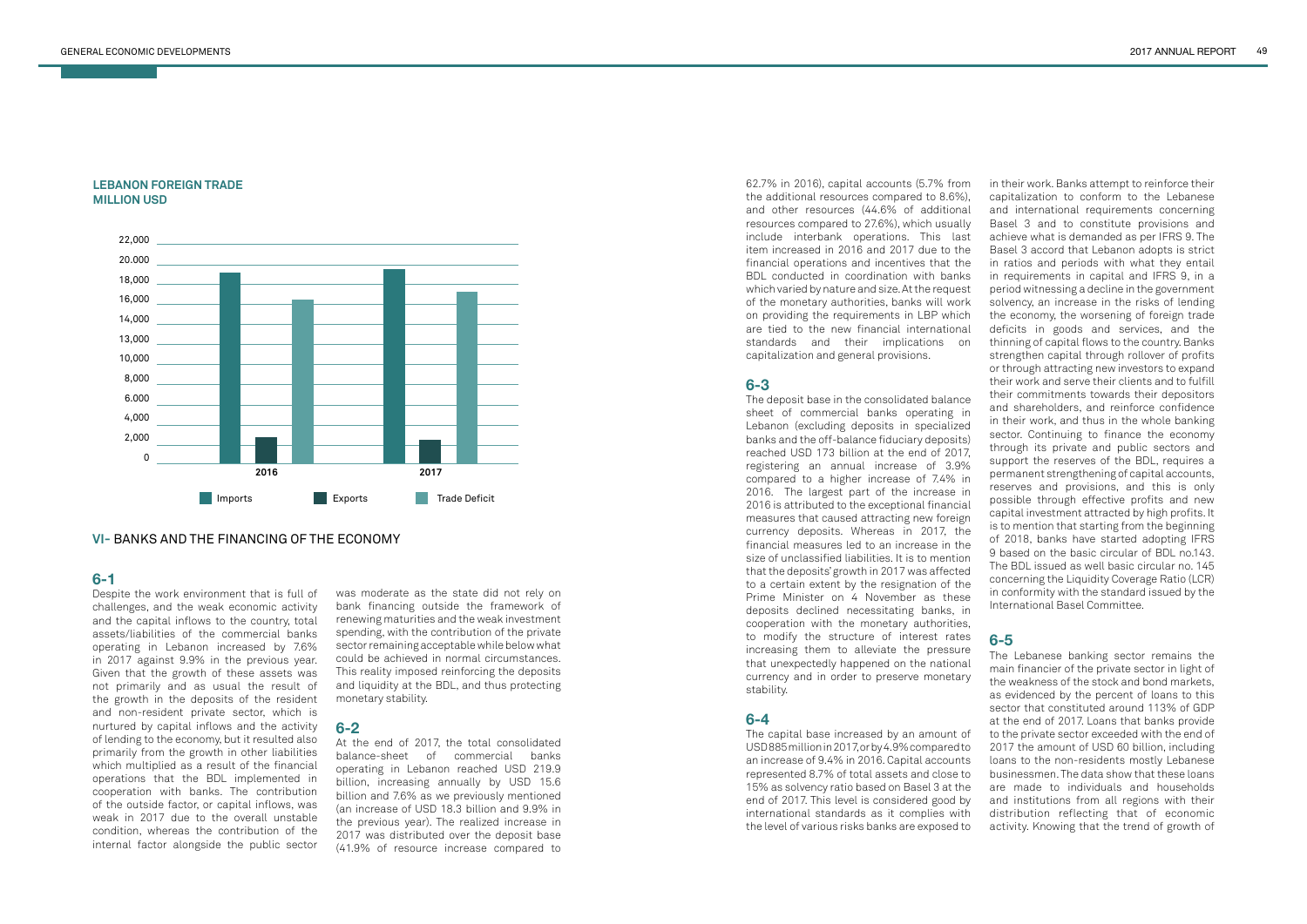

**VI-** BANKS AND THE FINANCING OF THE ECONOMY

#### **LEBANON FOREIGN TRADE MILLION USD**

# **6-1**

Despite the work environment that is full of challenges, and the weak economic activity and the capital inflows to the country, total assets/liabilities of the commercial banks operating in Lebanon increased by 7.6% in 2017 against 9.9% in the previous year. Given that the growth of these assets was not primarily and as usual the result of the growth in the deposits of the resident and non-resident private sector, which is nurtured by capital inflows and the activity of lending to the economy, but it resulted also primarily from the growth in other liabilities which multiplied as a result of the financial operations that the BDL implemented in cooperation with banks. The contribution of the outside factor, or capital inflows, was weak in 2017 due to the overall unstable condition, whereas the contribution of the internal factor alongside the public sector

At the end of 2017 the total consolidated balance-sheet of commercial banks operating in Lebanon reached USD 219.9 billion, increasing annually by USD 15.6 billion and 7.6% as we previously mentioned (an increase of USD 18.3 billion and 9.9% in the previous year). The realized increase in 2017 was distributed over the deposit base (41.9% of resource increase compared to

was moderate as the state did not rely on bank financing outside the framework of renewing maturities and the weak investment spending, with the contribution of the private sector remaining acceptable while below what could be achieved in normal circumstances. This reality imposed reinforcing the deposits and liquidity at the BDL, and thus protecting monetary stability.

# **6-2**

62.7% in 2016), capital accounts (5.7% from the additional resources compared to 8.6%), and other resources (44.6% of additional resources compared to 27.6%), which usually include interbank operations. This last item increased in 2016 and 2017 due to the financial operations and incentives that the BDL conducted in coordination with banks which varied by nature and size. At the request of the monetary authorities, banks will work on providing the requirements in LBP which are tied to the new financial international standards and their implications on capitalization and general provisions.

## **6-3**

The deposit base in the consolidated balance sheet of commercial banks operating in Lebanon (excluding deposits in specialized banks and the off-balance fiduciary deposits) reached USD 173 billion at the end of 2017, registering an annual increase of 3.9% compared to a higher increase of 7.4% in 2016. The largest part of the increase in 2016 is attributed to the exceptional financial measures that caused attracting new foreign currency deposits. Whereas in 2017, the financial measures led to an increase in the size of unclassified liabilities. It is to mention that the deposits' growth in 2017 was affected to a certain extent by the resignation of the Prime Minister on 4 November as these deposits declined necessitating banks, in cooperation with the monetary authorities, to modify the structure of interest rates increasing them to alleviate the pressure that unexpectedly happened on the national currency and in order to preserve monetary stability.

# **6-4**

The capital base increased by an amount of USD 885 million in 2017, or by 4.9% compared to an increase of 9.4% in 2016. Capital accounts represented 8.7% of total assets and close to 15% as solvency ratio based on Basel 3 at the end of 2017. This level is considered good by international standards as it complies with the level of various risks banks are exposed to in their work. Banks attempt to reinforce their capitalization to conform to the Lebanese and international requirements concerning Basel 3 and to constitute provisions and achieve what is demanded as per IFRS 9. The Basel 3 accord that Lebanon adopts is strict in ratios and periods with what they entail in requirements in capital and IFRS 9, in a period witnessing a decline in the government solvency, an increase in the risks of lending the economy, the worsening of foreign trade deficits in goods and services, and the thinning of capital flows to the country. Banks strengthen capital through rollover of profits or through attracting new investors to expand their work and serve their clients and to fulfill their commitments towards their depositors and shareholders, and reinforce confidence in their work, and thus in the whole banking sector. Continuing to finance the economy through its private and public sectors and support the reserves of the BDL, requires a permanent strengthening of capital accounts, reserves and provisions, and this is only possible through effective profits and new capital investment attracted by high profits. It is to mention that starting from the beginning of 2018, banks have started adopting IFRS 9 based on the basic circular of BDL no.143. The BDL issued as well basic circular no. 145 concerning the Liquidity Coverage Ratio (LCR) in conformity with the standard issued by the International Basel Committee.

# **6-5**

The Lebanese banking sector remains the main financier of the private sector in light of the weakness of the stock and bond markets, as evidenced by the percent of loans to this sector that constituted around 113% of GDP at the end of 2017. Loans that banks provide to the private sector exceeded with the end of 2017 the amount of USD 60 billion, including loans to the non-residents mostly Lebanese businessmen. The data show that these loans are made to individuals and households and institutions from all regions with their distribution reflecting that of economic activity. Knowing that the trend of growth of